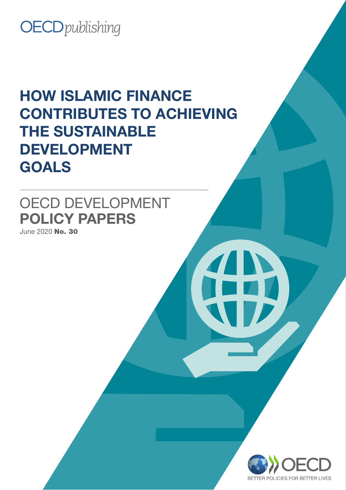### **OECD** publishing

### HOW ISLAMIC FINANCE CONTRIBUTES TO ACHIEVING THE SUSTAINABLE DEVELOPMENT GOALS

### OECD DEVELOPMENT POLICY PAPERS

June 2020 No. 30

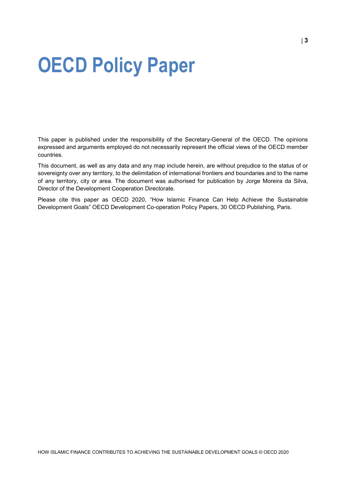## <span id="page-2-0"></span>**OECD Policy Paper**

This paper is published under the responsibility of the Secretary-General of the OECD. The opinions expressed and arguments employed do not necessarily represent the official views of the OECD member countries.

This document, as well as any data and any map include herein, are without prejudice to the status of or sovereignty over any territory, to the delimitation of international frontiers and boundaries and to the name of any territory, city or area. The document was authorised for publication by Jorge Moreira da Silva, Director of the Development Cooperation Directorate.

Please cite this paper as OECD 2020, "How Islamic Finance Can Help Achieve the Sustainable Development Goals" OECD Development Co-operation Policy Papers, 30 OECD Publishing, Paris.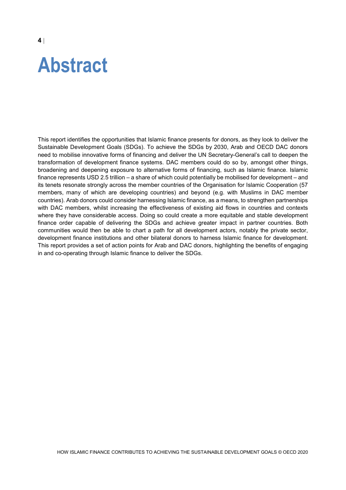## <span id="page-3-0"></span>**Abstract**

This report identifies the opportunities that Islamic finance presents for donors, as they look to deliver the Sustainable Development Goals (SDGs). To achieve the SDGs by 2030, Arab and OECD DAC donors need to mobilise innovative forms of financing and deliver the UN Secretary-General's call to deepen the transformation of development finance systems. DAC members could do so by, amongst other things, broadening and deepening exposure to alternative forms of financing, such as Islamic finance. Islamic finance represents USD 2.5 trillion – a share of which could potentially be mobilised for development – and its tenets resonate strongly across the member countries of the Organisation for Islamic Cooperation (57 members, many of which are developing countries) and beyond (e.g. with Muslims in DAC member countries). Arab donors could consider harnessing Islamic finance, as a means, to strengthen partnerships with DAC members, whilst increasing the effectiveness of existing aid flows in countries and contexts where they have considerable access. Doing so could create a more equitable and stable development finance order capable of delivering the SDGs and achieve greater impact in partner countries. Both communities would then be able to chart a path for all development actors, notably the private sector, development finance institutions and other bilateral donors to harness Islamic finance for development. This report provides a set of action points for Arab and DAC donors, highlighting the benefits of engaging in and co-operating through Islamic finance to deliver the SDGs.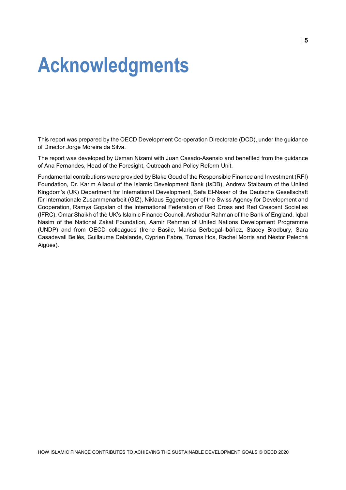## <span id="page-4-0"></span>**Acknowledgments**

This report was prepared by the OECD Development Co-operation Directorate (DCD), under the guidance of Director Jorge Moreira da Silva.

The report was developed by Usman Nizami with Juan Casado-Asensio and benefited from the guidance of Ana Fernandes, Head of the Foresight, Outreach and Policy Reform Unit.

Fundamental contributions were provided by Blake Goud of the Responsible Finance and Investment (RFI) Foundation, Dr. Karim Allaoui of the Islamic Development Bank (IsDB), Andrew Stalbaum of the United Kingdom's (UK) Department for International Development, Safa El-Naser of the Deutsche Gesellschaft für Internationale Zusammenarbeit (GIZ), Niklaus Eggenberger of the Swiss Agency for Development and Cooperation, Ramya Gopalan of the International Federation of Red Cross and Red Crescent Societies (IFRC), Omar Shaikh of the UK's Islamic Finance Council, Arshadur Rahman of the Bank of England, Iqbal Nasim of the National Zakat Foundation, Aamir Rehman of United Nations Development Programme (UNDP) and from OECD colleagues (Irene Basile, Marisa Berbegal-Ibáñez, Stacey Bradbury, Sara Casadevall Bellés, Guillaume Delalande, Cyprien Fabre, Tomas Hos, Rachel Morris and Néstor Pelechà Aigües).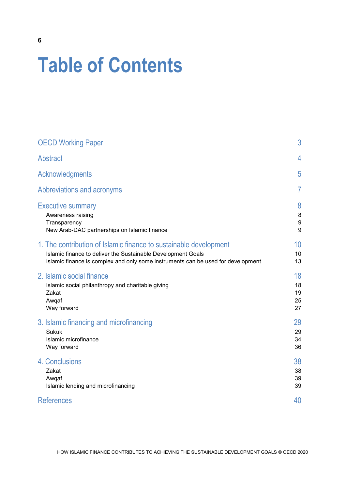# **Table of Contents**

| <b>OECD Working Paper</b>                                                        | 3  |
|----------------------------------------------------------------------------------|----|
| <b>Abstract</b>                                                                  | 4  |
| Acknowledgments                                                                  | 5  |
| Abbreviations and acronyms                                                       | 7  |
| <b>Executive summary</b>                                                         | 8  |
| Awareness raising                                                                | 8  |
| Transparency                                                                     | 9  |
| New Arab-DAC partnerships on Islamic finance                                     | 9  |
| 1. The contribution of Islamic finance to sustainable development                | 10 |
| Islamic finance to deliver the Sustainable Development Goals                     | 10 |
| Islamic finance is complex and only some instruments can be used for development | 13 |
| 2. Islamic social finance                                                        | 18 |
| Islamic social philanthropy and charitable giving                                | 18 |
| Zakat                                                                            | 19 |
| Awqaf                                                                            | 25 |
| Way forward                                                                      | 27 |
| 3. Islamic financing and microfinancing                                          | 29 |
| <b>Sukuk</b>                                                                     | 29 |
| Islamic microfinance                                                             | 34 |
| Way forward                                                                      | 36 |
| 4. Conclusions                                                                   | 38 |
| Zakat                                                                            | 38 |
| Awqaf                                                                            | 39 |
| Islamic lending and microfinancing                                               | 39 |
| <b>References</b>                                                                | 40 |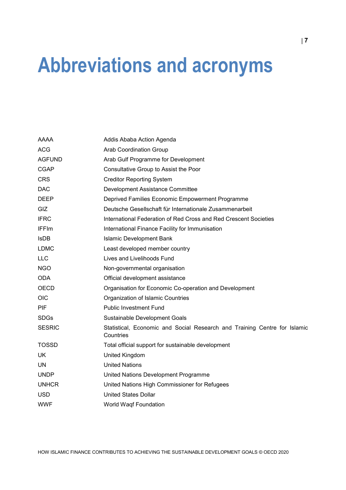## <span id="page-6-0"></span>**Abbreviations and acronyms**

| AAAA          | Addis Ababa Action Agenda                                                              |
|---------------|----------------------------------------------------------------------------------------|
| <b>ACG</b>    | <b>Arab Coordination Group</b>                                                         |
| <b>AGFUND</b> | Arab Gulf Programme for Development                                                    |
| <b>CGAP</b>   | Consultative Group to Assist the Poor                                                  |
| <b>CRS</b>    | <b>Creditor Reporting System</b>                                                       |
| <b>DAC</b>    | Development Assistance Committee                                                       |
| <b>DEEP</b>   | Deprived Families Economic Empowerment Programme                                       |
| <b>GIZ</b>    | Deutsche Gesellschaft für Internationale Zusammenarbeit                                |
| <b>IFRC</b>   | International Federation of Red Cross and Red Crescent Societies                       |
| <b>IFFIm</b>  | International Finance Facility for Immunisation                                        |
| <b>IsDB</b>   | <b>Islamic Development Bank</b>                                                        |
| <b>LDMC</b>   | Least developed member country                                                         |
| <b>LLC</b>    | Lives and Livelihoods Fund                                                             |
| <b>NGO</b>    | Non-governmental organisation                                                          |
| <b>ODA</b>    | Official development assistance                                                        |
| <b>OECD</b>   | Organisation for Economic Co-operation and Development                                 |
| <b>OIC</b>    | Organization of Islamic Countries                                                      |
| <b>PIF</b>    | <b>Public Investment Fund</b>                                                          |
| <b>SDGs</b>   | Sustainable Development Goals                                                          |
| <b>SESRIC</b> | Statistical, Economic and Social Research and Training Centre for Islamic<br>Countries |
| <b>TOSSD</b>  | Total official support for sustainable development                                     |
| UK            | United Kingdom                                                                         |
| UN            | <b>United Nations</b>                                                                  |
| <b>UNDP</b>   | United Nations Development Programme                                                   |
| <b>UNHCR</b>  | United Nations High Commissioner for Refugees                                          |
| <b>USD</b>    | <b>United States Dollar</b>                                                            |
| <b>WWF</b>    | <b>World Waqf Foundation</b>                                                           |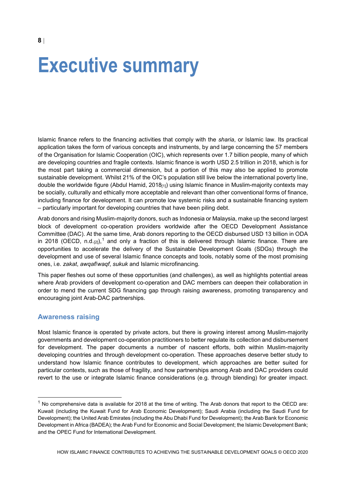## <span id="page-7-0"></span>**Executive summary**

Islamic finance refers to the financing activities that comply with the *sharia*, or Islamic law. Its practical application takes the form of various concepts and instruments, by and large concerning the 57 members of the Organisation for Islamic Cooperation (OIC), which represents over 1.7 billion people, many of which are developing countries and fragile contexts. Islamic finance is worth USD 2.5 trillion in 2018, which is for the most part taking a commercial dimension, but a portion of this may also be applied to promote sustainable development. Whilst 21% of the OIC's population still live below the international poverty line, double the worldwide figure (Abdul Hamid, 2018 $_{[1]}$ ) using Islamic finance in Muslim-majority contexts may be socially, culturally and ethically more acceptable and relevant than other conventional forms of finance, including finance for development. It can promote low systemic risks and a sustainable financing system – particularly important for developing countries that have been piling debt.

Arab donors and rising Muslim-majority donors, such as Indonesia or Malaysia, make up the second largest block of development co-operation providers worldwide after the OECD Development Assistance Committee (DAC). At the same time, Arab donors reporting to the OECD disbursed USD 13 billion in ODA in 20[1](#page-7-2)8 (OECD, n.d. $_{\rm [2]})$ , and only a fraction of this is delivered through Islamic finance. There are opportunities to accelerate the delivery of the Sustainable Development Goals (SDGs) through the development and use of several Islamic finance concepts and tools, notably some of the most promising ones, i.e. *zakat*, *awqaf*/*waqf*, *sukuk* and Islamic microfinancing.

This paper fleshes out some of these opportunities (and challenges), as well as highlights potential areas where Arab providers of development co-operation and DAC members can deepen their collaboration in order to mend the current SDG financing gap through raising awareness, promoting transparency and encouraging joint Arab-DAC partnerships.

#### <span id="page-7-1"></span>**Awareness raising**

Most Islamic finance is operated by private actors, but there is growing interest among Muslim-majority governments and development co-operation practitioners to better regulate its collection and disbursement for development. The paper documents a number of nascent efforts, both within Muslim-majority developing countries and through development co-operation. These approaches deserve better study to understand how Islamic finance contributes to development, which approaches are better suited for particular contexts, such as those of fragility, and how partnerships among Arab and DAC providers could revert to the use or integrate Islamic finance considerations (e.g. through blending) for greater impact.

**8** |

<span id="page-7-2"></span> $1$  No comprehensive data is available for 2018 at the time of writing. The Arab donors that report to the OECD are: Kuwait (including the Kuwait Fund for Arab Economic Development); Saudi Arabia (including the Saudi Fund for Development); the United Arab Emirates (including the Abu Dhabi Fund for Development); the Arab Bank for Economic Development in Africa (BADEA); the Arab Fund for Economic and Social Development; the Islamic Development Bank; and the OPEC Fund for International Development.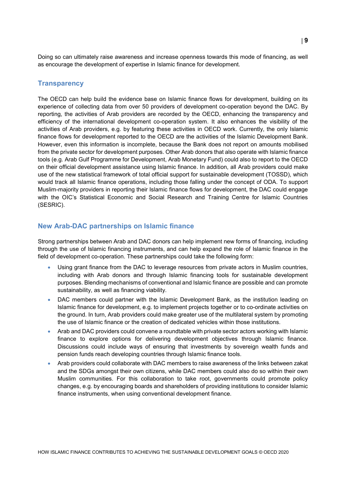Doing so can ultimately raise awareness and increase openness towards this mode of financing, as well as encourage the development of expertise in Islamic finance for development.

#### <span id="page-8-0"></span>**Transparency**

The OECD can help build the evidence base on Islamic finance flows for development, building on its experience of collecting data from over 50 providers of development co-operation beyond the DAC. By reporting, the activities of Arab providers are recorded by the OECD, enhancing the transparency and efficiency of the international development co-operation system. It also enhances the visibility of the activities of Arab providers, e.g. by featuring these activities in OECD work. Currently, the only Islamic finance flows for development reported to the OECD are the activities of the Islamic Development Bank. However, even this information is incomplete, because the Bank does not report on amounts mobilised from the private sector for development purposes. Other Arab donors that also operate with Islamic finance tools (e.g. Arab Gulf Programme for Development, Arab Monetary Fund) could also to report to the OECD on their official development assistance using Islamic finance. In addition, all Arab providers could make use of the new statistical framework of total official support for sustainable development (TOSSD), which would track all Islamic finance operations, including those falling under the concept of ODA. To support Muslim-majority providers in reporting their Islamic finance flows for development, the DAC could engage with the OIC's Statistical Economic and Social Research and Training Centre for Islamic Countries (SESRIC).

#### <span id="page-8-1"></span>**New Arab-DAC partnerships on Islamic finance**

Strong partnerships between Arab and DAC donors can help implement new forms of financing, including through the use of Islamic financing instruments, and can help expand the role of Islamic finance in the field of development co-operation. These partnerships could take the following form:

- Using grant finance from the DAC to leverage resources from private actors in Muslim countries, including with Arab donors and through Islamic financing tools for sustainable development purposes. Blending mechanisms of conventional and Islamic finance are possible and can promote sustainability, as well as financing viability.
- DAC members could partner with the Islamic Development Bank, as the institution leading on Islamic finance for development, e.g. to implement projects together or to co-ordinate activities on the ground. In turn, Arab providers could make greater use of the multilateral system by promoting the use of Islamic finance or the creation of dedicated vehicles within those institutions.
- Arab and DAC providers could convene a roundtable with private sector actors working with Islamic finance to explore options for delivering development objectives through Islamic finance. Discussions could include ways of ensuring that investments by sovereign wealth funds and pension funds reach developing countries through Islamic finance tools.
- Arab providers could collaborate with DAC members to raise awareness of the links between zakat and the SDGs amongst their own citizens, while DAC members could also do so within their own Muslim communities. For this collaboration to take root, governments could promote policy changes, e.g. by encouraging boards and shareholders of providing institutions to consider Islamic finance instruments, when using conventional development finance.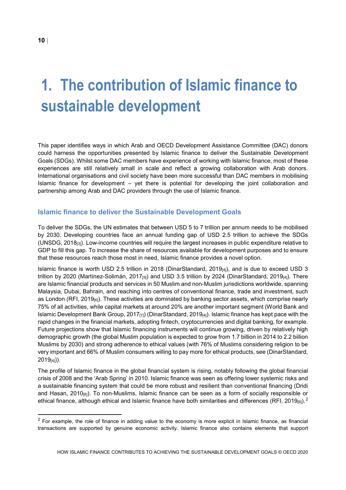### <span id="page-9-0"></span>**1. The contribution of Islamic finance to sustainable development**

This paper identifies ways in which Arab and OECD Development Assistance Committee (DAC) donors could harness the opportunities presented by Islamic finance to deliver the Sustainable Development Goals (SDGs). Whilst some DAC members have experience of working with Islamic finance, most of these experiences are still relatively small in scale and reflect a growing collaboration with Arab donors. International organisations and civil society have been more successful than DAC members in mobilising Islamic finance for development – yet there is potential for developing the joint collaboration and partnership among Arab and DAC providers through the use of Islamic finance.

#### <span id="page-9-1"></span>**Islamic finance to deliver the Sustainable Development Goals**

To deliver the SDGs, the UN estimates that between USD 5 to 7 trillion per annum needs to be mobilised by 2030. Developing countries face an annual funding gap of USD 2.5 trillion to achieve the SDGs (UNSDG, 2018[3]). Low-income countries will require the largest increases in public expenditure relative to GDP to fill this gap. To increase the share of resources available for development purposes and to ensure that these resources reach those most in need, Islamic finance provides a novel option.

Islamic finance is worth USD 2.5 trillion in 2018 (DinarStandard, 2019 $_{[4]}$ ), and is due to exceed USD 3 trillion by 2020 (Martínez-Solimán, 2017 $_{[5]}$ ) and USD 3.5 trillion by 2024 (DinarStandard, 2019 $_{[4]}$ ). There are Islamic financial products and services in 50 Muslim and non-Muslim jurisdictions worldwide, spanning Malaysia, Dubai, Bahrain, and reaching into centres of conventional finance, trade and investment, such as London (RFI, 2019 $_{[6]}$ ). These activities are dominated by banking sector assets, which comprise nearly 75% of all activities, while capital markets at around 20% are another important segment (World Bank and Islamic Development Bank Group, 2017 $_{[7]}$ ) (DinarStandard, 2019 $_{[4]}$ ). Islamic finance has kept pace with the rapid changes in the financial markets, adopting fintech, cryptocurrencies and digital banking, for example. Future projections show that Islamic financing instruments will continue growing, driven by relatively high demographic growth (the global Muslim population is expected to grow from 1.7 billion in 2014 to 2.2 billion Muslims by 2030) and strong adherence to ethical values (with 76% of Muslims considering religion to be very important and 66% of Muslim consumers willing to pay more for ethical products, see (DinarStandard,  $2019_{[4]}$ )).

The profile of Islamic finance in the global financial system is rising, notably following the global financial crisis of 2008 and the 'Arab Spring' in 2010. Islamic finance was seen as offering lower systemic risks and a sustainable financing system that could be more robust and resilient than conventional financing (Dridi and Hasan,  $2010_{[8]}$ ). To non-Muslims, Islamic finance can be seen as a form of socially responsible or ethical finance, although ethical and Islamic finance have both similarities and differences (RFI, [2](#page-9-2)019 $_{\rm [6]}$ ). $^2$ 

<span id="page-9-2"></span> $2$  For example, the role of finance in adding value to the economy is more explicit in Islamic finance, as financial transactions are supported by genuine economic activity. Islamic finance also contains elements that support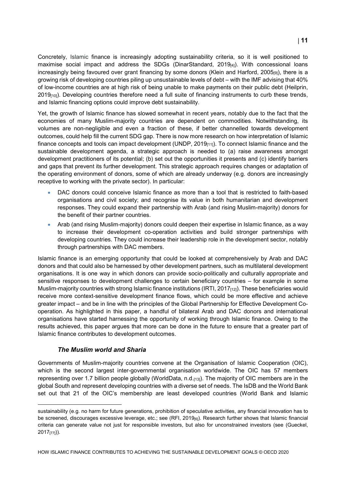Concretely, Islamic finance is increasingly adopting sustainability criteria, so it is well positioned to maximise social impact and address the SDGs (DinarStandard, 2019 $_{[4]}$ ). With concessional loans increasingly being favoured over grant financing by some donors (Klein and Harford, 2005[9]), there is a growing risk of developing countries piling up unsustainable levels of debt – with the IMF advising that 40% of low-income countries are at high risk of being unable to make payments on their public debt (Heilprin, 2019<sub>[10]</sub>). Developing countries therefore need a full suite of financing instruments to curb these trends, and Islamic financing options could improve debt sustainability.

Yet, the growth of Islamic finance has slowed somewhat in recent years, notably due to the fact that the economies of many Muslim-majority countries are dependent on commodities. Notwithstanding, its volumes are non-negligible and even a fraction of these, if better channelled towards development outcomes, could help fill the current SDG gap. There is now more research on how interpretation of Islamic finance concepts and tools can impact development (UNDP, 2019<sub>[11]</sub>). To connect Islamic finance and the sustainable development agenda, a strategic approach is needed to (a) raise awareness amongst development practitioners of its potential; (b) set out the opportunities it presents and (c) identify barriers and gaps that prevent its further development. This strategic approach requires changes or adaptation of the operating environment of donors, some of which are already underway (e.g. donors are increasingly receptive to working with the private sector). In particular:

- DAC donors could conceive Islamic finance as more than a tool that is restricted to faith-based organisations and civil society; and recognise its value in both humanitarian and development responses. They could expand their partnership with Arab (and rising Muslim-majority) donors for the benefit of their partner countries.
- Arab (and rising Muslim-majority) donors could deepen their expertise in Islamic finance, as a way to increase their development co-operation activities and build stronger partnerships with developing countries. They could increase their leadership role in the development sector, notably through partnerships with DAC members.

Islamic finance is an emerging opportunity that could be looked at comprehensively by Arab and DAC donors and that could also be harnessed by other development partners, such as multilateral development organisations. It is one way in which donors can provide socio-politically and culturally appropriate and sensitive responses to development challenges to certain beneficiary countries – for example in some Muslim-majority countries with strong Islamic finance institutions (IRTI, 2017<sub>[12]</sub>). These beneficiaries would receive more context-sensitive development finance flows, which could be more effective and achieve greater impact – and be in line with the principles of the Global Partnership for Effective Development Cooperation. As highlighted in this paper, a handful of bilateral Arab and DAC donors and international organisations have started harnessing the opportunity of working through Islamic finance. Owing to the results achieved, this paper argues that more can be done in the future to ensure that a greater part of Islamic finance contributes to development outcomes.

#### *The Muslim world and Sharia*

 $\ddot{ }$ 

Governments of Muslim-majority countries convene at the Organisation of Islamic Cooperation (OIC), which is the second largest inter-governmental organisation worldwide. The OIC has 57 members representing over 1.7 billion people globally (WorldData, n.d.[13]). The majority of OIC members are in the global South and represent developing countries with a diverse set of needs. The IsDB and the World Bank set out that 21 of the OIC's membership are least developed countries (World Bank and Islamic

sustainability (e.g. no harm for future generations, prohibition of speculative activities, any financial innovation has to be screened, discourages excessive leverage, etc.; see (RFI, 2019<sub>[6]</sub>). Research further shows that Islamic financial criteria can generate value not just for responsible investors, but also for unconstrained investors (see (Gueckel, 2017[77])).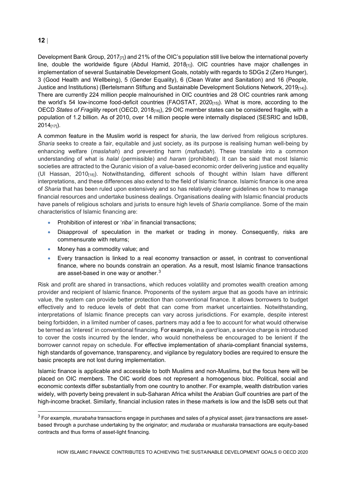Development Bank Group, 2017<sub>[7]</sub>) and 21% of the OIC's population still live below the international poverty line, double the worldwide figure (Abdul Hamid, 2018<sub>[1]</sub>). OIC countries have major challenges in implementation of several Sustainable Development Goals, notably with regards to SDGs 2 (Zero Hunger), 3 (Good Health and Wellbeing), 5 (Gender Equality), 6 (Clean Water and Sanitation) and 16 (People, Justice and Institutions) (Bertelsmann Stiftung and Sustainable Development Solutions Network, 2019<sub>[14]</sub>). There are currently 224 million people malnourished in OIC countries and 28 OIC countries rank among the world's 54 low-income food-deficit countries (FAOSTAT, 2020[15]). What is more, according to the OECD *States of Fragility* report (OECD, 2018[16]), 29 OIC member states can be considered fragile, with a population of 1.2 billion. As of 2010, over 14 million people were internally displaced (SESRIC and IsDB, 2014[17]).

A common feature in the Muslim world is respect for *sharia*, the law derived from religious scriptures. *Sharia* seeks to create a fair, equitable and just society, as its purpose is realising human well-being by enhancing welfare (*maslahah*) and preventing harm (*mafsadah*). These translate into a common understanding of what is *halal* (permissible) and *haram* (prohibited). It can be said that most Islamic societies are attracted to the Quranic vision of a value-based economic order delivering justice and equality (Ul Hassan, 2010[18]). Notwithstanding, different schools of thought within Islam have different interpretations, and these differences also extend to the field of Islamic finance. Islamic finance is one area of *Sharia* that has been ruled upon extensively and so has relatively clearer guidelines on how to manage financial resources and undertake business dealings. Organisations dealing with Islamic financial products have panels of religious scholars and jurists to ensure high levels of *Sharia* compliance. Some of the main characteristics of Islamic financing are:

- Prohibition of interest or '*riba'* in financial transactions;
- Disapproval of speculation in the market or trading in money. Consequently, risks are commensurate with returns;
- Money has a commodity value; and
- Every transaction is linked to a real economy transaction or asset, in contrast to conventional finance, where no bounds constrain an operation. As a result, most Islamic finance transactions are asset-based in one way or another.<sup>[3](#page-11-0)</sup>

Risk and profit are shared in transactions, which reduces volatility and promotes wealth creation among provider and recipient of Islamic finance. Proponents of the system argue that as goods have an intrinsic value, the system can provide better protection than conventional finance. It allows borrowers to budget effectively and to reduce levels of debt that can come from market uncertainties. Notwithstanding, interpretations of Islamic finance precepts can vary across jurisdictions. For example, despite interest being forbidden, in a limited number of cases, partners may add a fee to account for what would otherwise be termed as 'interest' in conventional financing. For example, in a *qard* loan, a service charge is introduced to cover the costs incurred by the lender, who would nonetheless be encouraged to be lenient if the borrower cannot repay on schedule. For effective implementation of *sharia*-compliant financial systems, high standards of governance, transparency, and vigilance by regulatory bodies are required to ensure the basic precepts are not lost during implementation.

Islamic finance is applicable and accessible to both Muslims and non-Muslims, but the focus here will be placed on OIC members. The OIC world does not represent a homogenous bloc. Political, social and economic contexts differ substantially from one country to another. For example, wealth distribution varies widely, with poverty being prevalent in sub-Saharan Africa whilst the Arabian Gulf countries are part of the high-income bracket. Similarly, financial inclusion rates in these markets is low and the IsDB sets out that

<span id="page-11-0"></span> <sup>3</sup> For example, *murabaha* transactions engage in purchases and sales of a physical asset; *ijara* transactions are assetbased through a purchase undertaking by the originator; and *mudaraba* or *musharaka* transactions are equity-based contracts and thus forms of asset-light financing.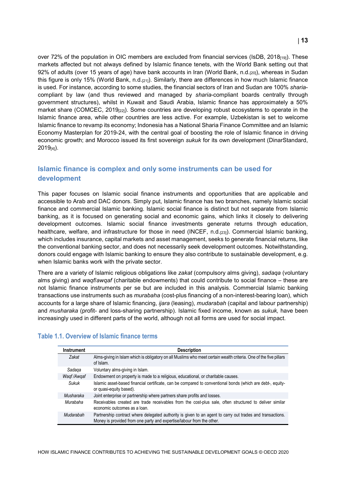over 72% of the population in OIC members are excluded from financial services (IsDB, 2018 $_{[19]}$ ). These markets affected but not always defined by Islamic finance tenets, with the World Bank setting out that 92% of adults (over 15 years of age) have bank accounts in Iran (World Bank, n.d.<sub>[20]</sub>), whereas in Sudan this figure is only 15% (World Bank, n.d. $_{[21]}$ ). Similarly, there are differences in how much Islamic finance is used. For instance, according to some studies, the financial sectors of Iran and Sudan are 100% *sharia*compliant by law (and thus reviewed and managed by *sharia*-compliant boards centrally through government structures), whilst in Kuwait and Saudi Arabia, Islamic finance has approximately a 50% market share (COMCEC, 2019<sub>[22]</sub>). Some countries are developing robust ecosystems to operate in the Islamic finance area, while other countries are less active. For example, Uzbekistan is set to welcome Islamic finance to revamp its economy; Indonesia has a National Sharia Finance Committee and an Islamic Economy Masterplan for 2019-24, with the central goal of boosting the role of Islamic finance in driving economic growth; and Morocco issued its first sovereign *sukuk* for its own development (DinarStandard,  $2019_{[4]}$ ).

#### <span id="page-12-0"></span>**Islamic finance is complex and only some instruments can be used for development**

This paper focuses on Islamic social finance instruments and opportunities that are applicable and accessible to Arab and DAC donors. Simply put, Islamic finance has two branches, namely Islamic social finance and commercial Islamic banking. Islamic social finance is distinct but not separate from Islamic banking, as it is focused on generating social and economic gains, which links it closely to delivering development outcomes. Islamic social finance investments generate returns through education, healthcare, welfare, and infrastructure for those in need (INCEF, n.d.<sub>[23]</sub>). Commercial Islamic banking, which includes insurance, capital markets and asset management, seeks to generate financial returns, like the conventional banking sector, and does not necessarily seek development outcomes. Notwithstanding, donors could engage with Islamic banking to ensure they also contribute to sustainable development, e.g. when Islamic banks work with the private sector.

There are a variety of Islamic religious obligations like *zakat* (compulsory alms giving), *sadaqa* (voluntary alms giving) and *waqf*/*awqaf* (charitable endowments) that could contribute to social finance – these are not Islamic finance instruments per se but are included in this analysis. Commercial Islamic banking transactions use instruments such as *murabaha* (cost-plus financing of a non-interest-bearing loan), which accounts for a large share of Islamic financing, *ijara* (leasing), *mudarabah* (capital and labour partnership) and *musharaka* (profit- and loss-sharing partnership). Islamic fixed income, known as *sukuk,* have been increasingly used in different parts of the world, although not all forms are used for social impact.

| <b>Instrument</b> | <b>Description</b>                                                                                                                                                                 |
|-------------------|------------------------------------------------------------------------------------------------------------------------------------------------------------------------------------|
| Zakat             | Alms-giving in Islam which is obligatory on all Muslims who meet certain wealth criteria. One of the five pillars<br>of Islam.                                                     |
| Sadaga            | Voluntary alms-giving in Islam.                                                                                                                                                    |
| Wagf/Awgaf        | Endowment on property is made to a religious, educational, or charitable causes.                                                                                                   |
| Sukuk             | Islamic asset-based financial certificate, can be compared to conventional bonds (which are debt-, equity-<br>or quasi-equity based).                                              |
| Musharaka         | Joint enterprise or partnership where partners share profits and losses.                                                                                                           |
| Murabaha          | Receivables created are trade receivables from the cost-plus sale, often structured to deliver similar<br>economic outcomes as a loan.                                             |
| Mudarabah         | Partnership contract where delegated authority is given to an agent to carry out trades and transactions.<br>Money is provided from one party and expertise/labour from the other. |

#### **Table 1.1. Overview of Islamic finance terms**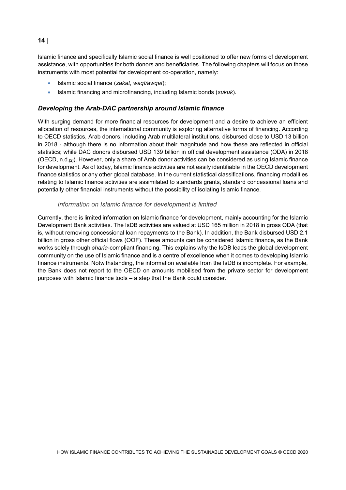Islamic finance and specifically Islamic social finance is well positioned to offer new forms of development assistance, with opportunities for both donors and beneficiaries. The following chapters will focus on those instruments with most potential for development co-operation, namely:

- Islamic social finance (*zakat*, *waqf/awqaf*);
- Islamic financing and microfinancing, including Islamic bonds (*sukuk*).

#### *Developing the Arab-DAC partnership around Islamic finance*

With surging demand for more financial resources for development and a desire to achieve an efficient allocation of resources, the international community is exploring alternative forms of financing. According to OECD statistics, Arab donors, including Arab multilateral institutions, disbursed close to USD 13 billion in 2018 - although there is no information about their magnitude and how these are reflected in official statistics; while DAC donors disbursed USD 139 billion in official development assistance (ODA) in 2018 (OECD, n.d.[2]). However, only a share of Arab donor activities can be considered as using Islamic finance for development. As of today, Islamic finance activities are not easily identifiable in the OECD development finance statistics or any other global database. In the current statistical classifications, financing modalities relating to Islamic finance activities are assimilated to standards grants, standard concessional loans and potentially other financial instruments without the possibility of isolating Islamic finance.

#### *Information on Islamic finance for development is limited*

Currently, there is limited information on Islamic finance for development, mainly accounting for the Islamic Development Bank activities. The IsDB activities are valued at USD 165 million in 2018 in gross ODA (that is, without removing concessional loan repayments to the Bank). In addition, the Bank disbursed USD 2.1 billion in gross other official flows (OOF). These amounts can be considered Islamic finance, as the Bank works solely through *sharia*-compliant financing. This explains why the IsDB leads the global development community on the use of Islamic finance and is a centre of excellence when it comes to developing Islamic finance instruments. Notwithstanding, the information available from the IsDB is incomplete. For example, the Bank does not report to the OECD on amounts mobilised from the private sector for development purposes with Islamic finance tools – a step that the Bank could consider.

#### **14** |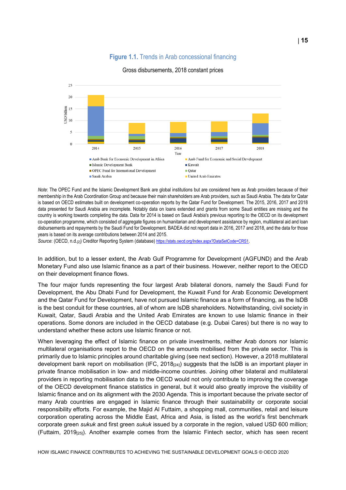#### **Figure 1.1.** Trends in Arab concessional financing



#### Gross disbursements, 2018 constant prices

*Note*: The OPEC Fund and the Islamic Development Bank are global institutions but are considered here as Arab providers because of their membership in the Arab Coordination Group and because their main shareholders are Arab providers, such as Saudi Arabia. The data for Qatar is based on OECD estimates built on development co-operation reports by the Qatar Fund for Development. The 2015, 2016, 2017 and 2018 data presented for Saudi Arabia are incomplete. Notably data on loans extended and grants from some Saudi entities are missing and the country is working towards completing the data. Data for 2014 is based on Saudi Arabia's previous reporting to the OECD on its development co-operation programme, which consisted of aggregate figures on humanitarian and development assistance by region, multilateral aid and loan disbursements and repayments by the Saudi Fund for Development. BADEA did not report data in 2016, 2017 and 2018, and the data for those years is based on its average contributions between 2014 and 2015.

*Source*: (OECD, n.d.[2]) Creditor Reporting System (database[\) https://stats.oecd.org/Index.aspx?DataSetCode=CRS1.](https://stats.oecd.org/Index.aspx?DataSetCode=CRS1)

In addition, but to a lesser extent, the Arab Gulf Programme for Development (AGFUND) and the Arab Monetary Fund also use Islamic finance as a part of their business. However, neither report to the OECD on their development finance flows.

The four major funds representing the four largest Arab bilateral donors, namely the Saudi Fund for Development, the Abu Dhabi Fund for Development, the Kuwait Fund for Arab Economic Development and the Qatar Fund for Development, have not pursued Islamic finance as a form of financing, as the IsDB is the best conduit for these countries, all of whom are IsDB shareholders. Notwithstanding, civil society in Kuwait, Qatar, Saudi Arabia and the United Arab Emirates are known to use Islamic finance in their operations. Some donors are included in the OECD database (e.g. Dubai Cares) but there is no way to understand whether these actors use Islamic finance or not.

When leveraging the effect of Islamic finance on private investments, neither Arab donors nor Islamic multilateral organisations report to the OECD on the amounts mobilised from the private sector. This is primarily due to Islamic principles around charitable giving (see next section). However, a 2018 multilateral development bank report on mobilisation (IFC, 2018<sub>[24]</sub>) suggests that the IsDB is an important player in private finance mobilisation in low- and middle-income countries. Joining other bilateral and multilateral providers in reporting mobilisation data to the OECD would not only contribute to improving the coverage of the OECD development finance statistics in general, but it would also greatly improve the visibility of Islamic finance and on its alignment with the 2030 Agenda. This is important because the private sector of many Arab countries are engaged in Islamic finance through their sustainability or corporate social responsibility efforts. For example, the Majid Al Futtaim, a shopping mall, communities, retail and leisure corporation operating across the Middle East, Africa and Asia, is listed as the world's first benchmark corporate green *sukuk* and first green *sukuk* issued by a corporate in the region, valued USD 600 million; (Futtaim, 2019<sub>[25]</sub>). Another example comes from the Islamic Fintech sector, which has seen recent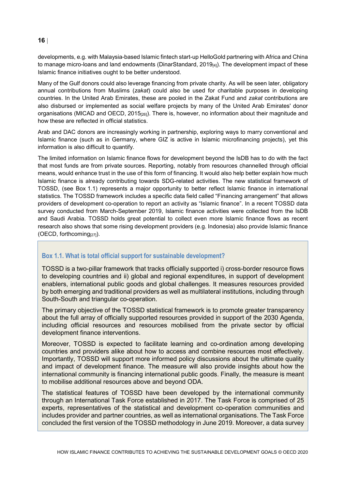developments, e.g. with Malaysia-based Islamic fintech start-up HelloGold partnering with Africa and China to manage micro-loans and land endowments (DinarStandard, 2019 $_{[4]}$ ). The development impact of these Islamic finance initiatives ought to be better understood.

Many of the Gulf donors could also leverage financing from private charity. As will be seen later, obligatory annual contributions from Muslims (*zakat*) could also be used for charitable purposes in developing countries. In the United Arab Emirates, these are pooled in the Zakat Fund and *zakat* contributions are also disbursed or implemented as social welfare projects by many of the United Arab Emirates' donor organisations (MICAD and OECD, 2015<sub>[26]</sub>). There is, however, no information about their magnitude and how these are reflected in official statistics.

Arab and DAC donors are increasingly working in partnership, exploring ways to marry conventional and Islamic finance (such as in Germany, where GIZ is active in Islamic microfinancing projects), yet this information is also difficult to quantify.

The limited information on Islamic finance flows for development beyond the IsDB has to do with the fact that most funds are from private sources. Reporting, notably from resources channelled through official means, would enhance trust in the use of this form of financing. It would also help better explain how much Islamic finance is already contributing towards SDG-related activities. The new statistical framework of TOSSD, (see [Box](#page-15-0) 1.1) represents a major opportunity to better reflect Islamic finance in international statistics. The TOSSD framework includes a specific data field called "Financing arrangement" that allows providers of development co-operation to report an activity as "Islamic finance". In a recent TOSSD data survey conducted from March-September 2019, Islamic finance activities were collected from the IsDB and Saudi Arabia. TOSSD holds great potential to collect even more Islamic finance flows as recent research also shows that some rising development providers (e.g. Indonesia) also provide Islamic finance (OECD, forthcoming[27]).

#### <span id="page-15-0"></span>**Box 1.1. What is total official support for sustainable development?**

TOSSD is a two-pillar framework that tracks officially supported i) cross-border resource flows to developing countries and ii) global and regional expenditures, in support of development enablers, international public goods and global challenges. It measures resources provided by both emerging and traditional providers as well as multilateral institutions, including through South-South and triangular co-operation.

The primary objective of the TOSSD statistical framework is to promote greater transparency about the full array of officially supported resources provided in support of the 2030 Agenda, including official resources and resources mobilised from the private sector by official development finance interventions.

Moreover, TOSSD is expected to facilitate learning and co-ordination among developing countries and providers alike about how to access and combine resources most effectively. Importantly, TOSSD will support more informed policy discussions about the ultimate quality and impact of development finance. The measure will also provide insights about how the international community is financing international public goods. Finally, the measure is meant to mobilise additional resources above and beyond ODA.

The statistical features of TOSSD have been developed by the international community through an International Task Force established in 2017. The Task Force is comprised of 25 experts, representatives of the statistical and development co-operation communities and includes provider and partner countries, as well as international organisations. The Task Force concluded the first version of the TOSSD methodology in June 2019. Moreover, a data survey

#### **16** |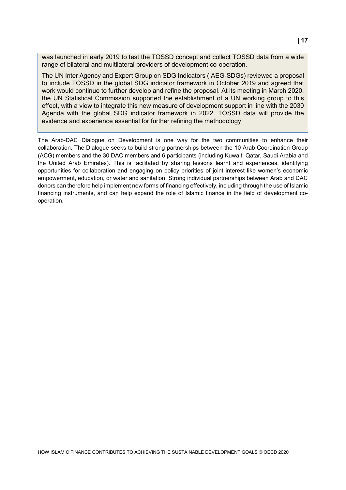was launched in early 2019 to test the TOSSD concept and collect TOSSD data from a wide range of bilateral and multilateral providers of development co-operation.

The UN Inter Agency and Expert Group on SDG Indicators (IAEG-SDGs) reviewed a proposal to include TOSSD in the global SDG indicator framework in October 2019 and agreed that work would continue to further develop and refine the proposal. At its meeting in March 2020, the UN Statistical Commission supported the establishment of a UN working group to this effect, with a view to integrate this new measure of development support in line with the 2030 Agenda with the global SDG indicator framework in 2022. TOSSD data will provide the evidence and experience essential for further refining the methodology.

The Arab-DAC Dialogue on Development is one way for the two communities to enhance their collaboration. The Dialogue seeks to build strong partnerships between the 10 Arab Coordination Group (ACG) members and the 30 DAC members and 6 participants (including Kuwait, Qatar, Saudi Arabia and the United Arab Emirates). This is facilitated by sharing lessons learnt and experiences, identifying opportunities for collaboration and engaging on policy priorities of joint interest like women's economic empowerment, education, or water and sanitation. Strong individual partnerships between Arab and DAC donors can therefore help implement new forms of financing effectively, including through the use of Islamic financing instruments, and can help expand the role of Islamic finance in the field of development cooperation.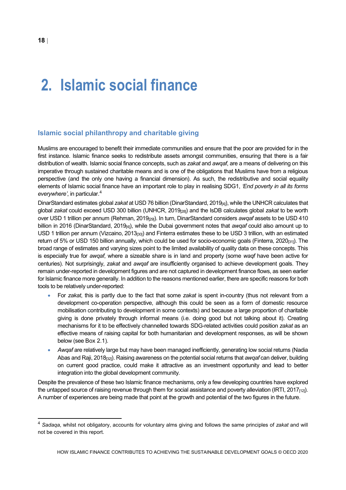### <span id="page-17-0"></span>**2. Islamic social finance**

#### <span id="page-17-1"></span>**Islamic social philanthropy and charitable giving**

Muslims are encouraged to benefit their immediate communities and ensure that the poor are provided for in the first instance. Islamic finance seeks to redistribute assets amongst communities, ensuring that there is a fair distribution of wealth. Islamic social finance concepts, such as *zakat* and *awqaf*, are a means of delivering on this imperative through sustained charitable means and is one of the obligations that Muslims have from a religious perspective (and the only one having a financial dimension). As such, the redistributive and social equality elements of Islamic social finance have an important role to play in realising SDG1, *'End poverty in all its forms everywhere'*, in particular.[4](#page-17-2)

DinarStandard estimates global *zakat* at USD 76 billion (DinarStandard, 2019[4]), while the UNHCR calculates that global *zakat* could exceed USD 300 billion (UNHCR, 2019[28]) and the IsDB calculates global *zakat* to be worth over USD 1 trillion per annum (Rehman, 2019[29]). In turn, DinarStandard considers *awqaf* assets to be USD 410 billion in 2016 (DinarStandard, 2019[4]), while the Dubai government notes that *awqaf* could also amount up to USD 1 trillion per annum (Vizcaino, 2013<sub>[30]</sub>) and Finterra estimates these to be USD 3 trillion, with an estimated return of 5% or USD 150 billion annually, which could be used for socio-economic goals (Finterra, 2020[31]). The broad range of estimates and varying sizes point to the limited availability of quality data on these concepts. This is especially true for *awqaf*, where a sizeable share is in land and property (some *waqf* have been active for centuries). Not surprisingly, *zakat* and *awqaf* are insufficiently organised to achieve development goals. They remain under-reported in development figures and are not captured in development finance flows, as seen earlier for Islamic finance more generally. In addition to the reasons mentioned earlier, there are specific reasons for both tools to be relatively under-reported:

- For *zakat*, this is partly due to the fact that some *zakat* is spent in-country (thus not relevant from a development co-operation perspective, although this could be seen as a form of domestic resource mobilisation contributing to development in some contexts) and because a large proportion of charitable giving is done privately through informal means (i.e. doing good but not talking about it). Creating mechanisms for it to be effectively channelled towards SDG-related activities could position *zakat* as an effective means of raising capital for both humanitarian and development responses, as will be shown below (see [Box](#page-18-1) 2.1).
- Awqaf are relatively large but may have been managed inefficiently, generating low social returns (Nadia Abas and Raji, 2018[32]). Raising awareness on the potential social returns that *awqaf* can deliver, building on current good practice, could make it attractive as an investment opportunity and lead to better integration into the global development community.

Despite the prevalence of these two Islamic finance mechanisms, only a few developing countries have explored the untapped source of raising revenue through them for social assistance and poverty alleviation (IRTI,  $2017_{[12]}$ ). A number of experiences are being made that point at the growth and potential of the two figures in the future.

<span id="page-17-2"></span> <sup>4</sup> *Sadaqa*, whilst not obligatory, accounts for voluntary alms giving and follows the same principles of *zakat* and will not be covered in this report.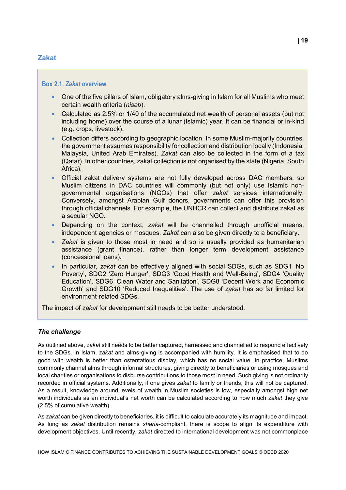#### <span id="page-18-0"></span>**Zakat**

#### <span id="page-18-1"></span>**Box 2.1.** *Zakat* **overview**

- One of the five pillars of Islam, obligatory alms-giving in Islam for all Muslims who meet certain wealth criteria (*nisab*).
- Calculated as 2.5% or 1/40 of the accumulated net wealth of personal assets (but not including home) over the course of a lunar (Islamic) year. It can be financial or in-kind (e.g. crops, livestock).
- Collection differs according to geographic location. In some Muslim-majority countries, the government assumes responsibility for collection and distribution locally (Indonesia, Malaysia, United Arab Emirates). *Zakat* can also be collected in the form of a tax (Qatar). In other countries, zakat collection is not organised by the state (Nigeria, South Africa).
- Official zakat delivery systems are not fully developed across DAC members, so Muslim citizens in DAC countries will commonly (but not only) use Islamic nongovernmental organisations (NGOs) that offer *zakat* services internationally. Conversely, amongst Arabian Gulf donors, governments can offer this provision through official channels. For example, the UNHCR can collect and distribute zakat as a secular NGO.
- Depending on the context, *zakat* will be channelled through unofficial means, independent agencies or mosques. *Zakat* can also be given directly to a beneficiary.
- *Zakat* is given to those most in need and so is usually provided as humanitarian assistance (grant finance), rather than longer term development assistance (concessional loans).
- In particular, *zakat* can be effectively aligned with social SDGs, such as SDG1 'No Poverty', SDG2 'Zero Hunger', SDG3 'Good Health and Well-Being', SDG4 'Quality Education', SDG6 'Clean Water and Sanitation', SDG8 'Decent Work and Economic Growth' and SDG10 'Reduced Inequalities'. The use of *zakat* has so far limited for environment-related SDGs.

The impact of *zakat* for development still needs to be better understood.

#### *The challenge*

As outlined above, *zakat* still needs to be better captured, harnessed and channelled to respond effectively to the SDGs. In Islam, *zakat* and alms-giving is accompanied with humility. It is emphasised that to do good with wealth is better than ostentatious display, which has no social value. In practice, Muslims commonly channel alms through informal structures, giving directly to beneficiaries or using mosques and local charities or organisations to disburse contributions to those most in need. Such giving is not ordinarily recorded in official systems. Additionally, if one gives *zakat* to family or friends, this will not be captured. As a result, knowledge around levels of wealth in Muslim societies is low, especially amongst high net worth individuals as an individual's net worth can be calculated according to how much *zakat* they give (2.5% of cumulative wealth).

As *zakat* can be given directly to beneficiaries, it is difficult to calculate accurately its magnitude and impact. As long as *zakat* distribution remains *sharia*-compliant, there is scope to align its expenditure with development objectives. Until recently, *zakat* directed to international development was not commonplace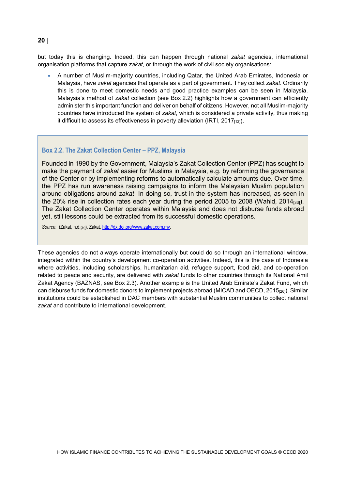but today this is changing. Indeed, this can happen through national *zakat* agencies, international organisation platforms that capture *zakat*, or through the work of civil society organisations:

• A number of Muslim-majority countries, including Qatar, the United Arab Emirates, Indonesia or Malaysia, have *zakat* agencies that operate as a part of government. They collect *zakat*. Ordinarily this is done to meet domestic needs and good practice examples can be seen in Malaysia. Malaysia's method of *zakat* collection (see [Box](#page-19-0) 2.2) highlights how a government can efficiently administer this important function and deliver on behalf of citizens. However, not all Muslim-majority countries have introduced the system of *zakat*, which is considered a private activity, thus making it difficult to assess its effectiveness in poverty alleviation (IRTI,  $2017_{[12]}$ ).

#### <span id="page-19-0"></span>**Box 2.2. The Zakat Collection Center – PPZ, Malaysia**

Founded in 1990 by the Government, Malaysia's Zakat Collection Center (PPZ) has sought to make the payment of *zakat* easier for Muslims in Malaysia, e.g. by reforming the governance of the Center or by implementing reforms to automatically calculate amounts due. Over time, the PPZ has run awareness raising campaigns to inform the Malaysian Muslim population around obligations around *zakat*. In doing so, trust in the system has increased, as seen in the 20% rise in collection rates each year during the period 2005 to 2008 (Wahid, 2014 $_{[33]}$ ). The Zakat Collection Center operates within Malaysia and does not disburse funds abroad yet, still lessons could be extracted from its successful domestic operations.

*Source*: (Zakat, n.d.[34]), Zakat[, http://dx.doi.org/www.zakat.com.my.](http://dx.doi.org/www.zakat.com.my)

These agencies do not always operate internationally but could do so through an international window, integrated within the country's development co-operation activities. Indeed, this is the case of Indonesia where activities, including scholarships, humanitarian aid, refugee support, food aid, and co-operation related to peace and security, are delivered with *zakat* funds to other countries through its National Amil Zakat Agency (BAZNAS, see [Box](#page-20-0) 2.3). Another example is the United Arab Emirate's Zakat Fund, which can disburse funds for domestic donors to implement projects abroad (MICAD and OECD, 2015<sub>[26]</sub>). Similar institutions could be established in DAC members with substantial Muslim communities to collect national *zakat* and contribute to international development.

#### **20** |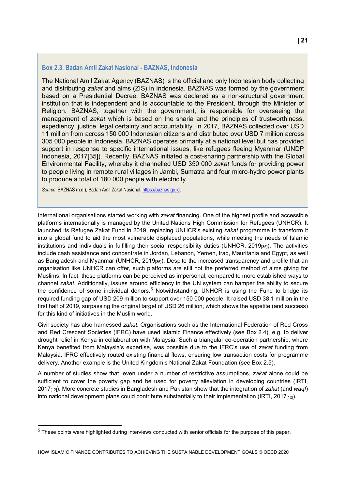#### <span id="page-20-0"></span>**Box 2.3. Badan Amil Zakat Nasional - BAZNAS, Indonesia**

The National Amil Zakat Agency (BAZNAS) is the official and only Indonesian body collecting and distributing *zakat* and alms (ZIS) in Indonesia. BAZNAS was formed by the government based on a Presidential Decree. BAZNAS was declared as a non-structural government institution that is independent and is accountable to the President, through the Minister of Religion. BAZNAS, together with the government, is responsible for overseeing the management of *zakat* which is based on the sharia and the principles of trustworthiness, expediency, justice, legal certainty and accountability. In 2017, BAZNAS collected over USD 11 million from across 150 000 Indonesian citizens and distributed over USD 7 million across 305 000 people in Indonesia. BAZNAS operates primarily at a national level but has provided support in response to specific international issues, like refugees fleeing Myanmar (UNDP Indonesia, 2017[35]). Recently, BAZNAS initiated a cost-sharing partnership with the Global Environmental Facility, whereby it channelled USD 350 000 *zakat* funds for providing power to people living in remote rural villages in Jambi, Sumatra and four micro-hydro power plants to produce a total of 180 000 people with electricity.

*Source*: BAZNAS (n.d.), Badan Amil Zakat Nasional[, https://baznas.go.id.](https://baznas.go.id/)

International organisations started working with *zakat* financing. One of the highest profile and accessible platforms internationally is managed by the United Nations High Commission for Refugees (UNHCR). It launched its Refugee Zakat Fund in 2019, replacing UNHCR's existing *zakat* programme to transform it into a global fund to aid the most vulnerable displaced populations, while meeting the needs of Islamic institutions and individuals in fulfilling their social responsibility duties (UNHCR, 2019<sub>[35]</sub>). The activities include cash assistance and concentrate in Jordan, Lebanon, Yemen, Iraq, Mauritania and Egypt, as well as Bangladesh and Myanmar (UNHCR, 2019 $_{[36]}$ ). Despite the increased transparency and profile that an organisation like UNHCR can offer, such platforms are still not the preferred method of alms giving for Muslims. In fact, these platforms can be perceived as impersonal, compared to more established ways to channel *zakat*. Additionally, issues around efficiency in the UN system can hamper the ability to secure the confidence of some individual donors.<sup>[5](#page-20-1)</sup> Notwithstanding, UNHCR is using the Fund to bridge its required funding gap of USD 209 million to support over 150 000 people. It raised USD 38.1 million in the first half of 2019, surpassing the original target of USD 26 million, which shows the appetite (and success) for this kind of initiatives in the Muslim world.

Civil society has also harnessed *zakat*. Organisations such as the International Federation of Red Cross and Red Crescent Societies (IFRC) have used Islamic Finance effectively (see [Box](#page-21-0) 2.4), e.g. to deliver drought relief in Kenya in collaboration with Malaysia. Such a triangular co-operation partnership, where Kenya benefited from Malaysia's expertise, was possible due to the IFRC's use of *zakat* funding from Malaysia. IFRC effectively routed existing financial flows, ensuring low transaction costs for programme delivery. Another example is the United Kingdom's National Zakat Foundation (see [Box](#page-22-0) 2.5).

A number of studies show that, even under a number of restrictive assumptions, *zakat* alone could be sufficient to cover the poverty gap and be used for poverty alleviation in developing countries (IRTI, 2017[12]). More concrete studies in Bangladesh and Pakistan show that the integration of *zakat* (and *waqf*) into national development plans could contribute substantially to their implementation (IRTI, 2017 $_{[12]}$ ).

<span id="page-20-1"></span> $<sup>5</sup>$  These points were highlighted during interviews conducted with senior officials for the purpose of this paper.</sup>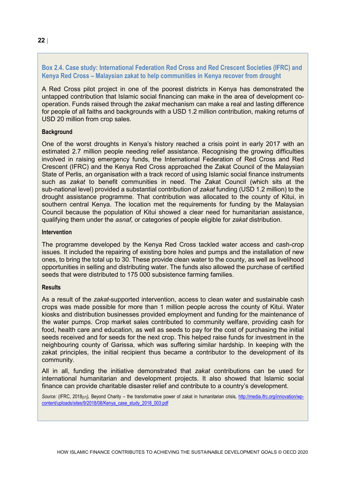#### <span id="page-21-0"></span>**Box 2.4. Case study: International Federation Red Cross and Red Crescent Societies (IFRC) and Kenya Red Cross – Malaysian zakat to help communities in Kenya recover from drought**

A Red Cross pilot project in one of the poorest districts in Kenya has demonstrated the untapped contribution that Islamic social financing can make in the area of development cooperation. Funds raised through the *zakat* mechanism can make a real and lasting difference for people of all faiths and backgrounds with a USD 1.2 million contribution, making returns of USD 20 million from crop sales.

#### **Background**

One of the worst droughts in Kenya's history reached a crisis point in early 2017 with an estimated 2.7 million people needing relief assistance. Recognising the growing difficulties involved in raising emergency funds, the International Federation of Red Cross and Red Crescent (IFRC) and the Kenya Red Cross approached the Zakat Council of the Malaysian State of Perlis, an organisation with a track record of using Islamic social finance instruments such as *zakat* to benefit communities in need. The Zakat Council (which sits at the sub-national level) provided a substantial contribution of *zakat* funding (USD 1.2 million) to the drought assistance programme. That contribution was allocated to the county of Kitui, in southern central Kenya. The location met the requirements for funding by the Malaysian Council because the population of Kitui showed a clear need for humanitarian assistance, qualifying them under the *asnaf*, or categories of people eligible for *zakat* distribution.

#### **Intervention**

The programme developed by the Kenya Red Cross tackled water access and cash-crop issues. It included the repairing of existing bore holes and pumps and the installation of new ones, to bring the total up to 30. These provide clean water to the county, as well as livelihood opportunities in selling and distributing water. The funds also allowed the purchase of certified seeds that were distributed to 175 000 subsistence farming families.

#### **Results**

As a result of the *zakat*-supported intervention, access to clean water and sustainable cash crops was made possible for more than 1 million people across the county of Kitui. Water kiosks and distribution businesses provided employment and funding for the maintenance of the water pumps. Crop market sales contributed to community welfare, providing cash for food, health care and education, as well as seeds to pay for the cost of purchasing the initial seeds received and for seeds for the next crop. This helped raise funds for investment in the neighbouring county of Garissa, which was suffering similar hardship. In keeping with the zakat principles, the initial recipient thus became a contributor to the development of its community.

All in all, funding the initiative demonstrated that *zakat* contributions can be used for international humanitarian and development projects. It also showed that Islamic social finance can provide charitable disaster relief and contribute to a country's development.

*Source:* (IFRC, 2018[37])*,* Beyond Charity – the transformative power of zakat in humanitarian crisis*,* [http://media.ifrc.org/innovation/wp](http://media.ifrc.org/innovation/wp-content/uploads/sites/9/2018/08/Kenya_case_study_2018_003.pdf)[content/uploads/sites/9/2018/08/Kenya\\_case\\_study\\_2018\\_003.pdf](http://media.ifrc.org/innovation/wp-content/uploads/sites/9/2018/08/Kenya_case_study_2018_003.pdf)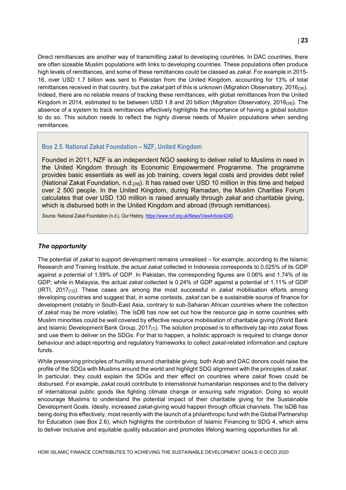Direct remittances are another way of transmitting *zakat* to developing countries. In DAC countries, there are often sizeable Muslim populations with links to developing countries. These populations often produce high levels of remittances, and some of these remittances could be classed as *zakat*. For example in 2015- 16, over USD 1.7 billion was sent to Pakistan from the United Kingdom, accounting for 13% of total remittances received in that country, but the *zakat* part of this is unknown (Migration Observatory, 2016[38]). Indeed, there are no reliable means of tracking these remittances, with global remittances from the United Kingdom in 2014, estimated to be between USD 1.8 and 20 billion (Migration Observatory, 2016<sub>[38]</sub>). The absence of a system to track remittances effectively highlights the importance of having a global solution to do so. This solution needs to reflect the highly diverse needs of Muslim populations when sending remittances.

#### <span id="page-22-0"></span>**Box 2.5. National Zakat Foundation – NZF, United Kingdom**

Founded in 2011, NZF is an independent NGO seeking to deliver relief to Muslims in need in the United Kingdom through its Economic Empowerment Programme. The programme provides basic essentials as well as job training, covers legal costs and provides debt relief (National Zakat Foundation, n.d.[39]). It has raised over USD 10 million in this time and helped over 2 500 people. In the United Kingdom, during Ramadan, the Muslim Charities Forum calculates that over USD 130 million is raised annually through *zakat* and charitable giving, which is disbursed both in the United Kingdom and abroad (through remittances).

Source: National Zakat Foundation (n.d.), Our History, [https://www.nzf.org.uk/News/ViewArticle/4240.](https://www.nzf.org.uk/News/ViewArticle/4240)

#### *The opportunity*

The potential of *zakat* to support development remains unrealised – for example, according to the Islamic Research and Training Institute, the actual *zakat* collected in Indonesia corresponds to 0.025% of its GDP against a potential of 1.59% of GDP. In Pakistan, the corresponding figures are 0.06% and 1.74% of its GDP; while in Malaysia, the actual *zakat* collected is 0.24% of GDP against a potential of 1.11% of GDP (IRTI, 2017[12]). These cases are among the most successful in *zakat* mobilisation efforts among developing countries and suggest that, in some contexts, *zakat* can be a sustainable source of finance for development (notably in South-East Asia, contrary to sub-Saharan African countries where the collection of *zakat* may be more volatile). The IsDB has now set out how the resource gap in some countries with Muslim minorities could be well covered by effective resource mobilisation of charitable giving (World Bank and Islamic Development Bank Group, 2017[7]). The solution proposed is to effectively tap into *zakat* flows and use them to deliver on the SDGs. For that to happen, a holistic approach is required to change donor behaviour and adapt reporting and regulatory frameworks to collect *zakat*-related information and capture funds.

While preserving principles of humility around charitable giving, both Arab and DAC donors could raise the profile of the SDGs with Muslims around the world and highlight SDG alignment with the principles of *zakat*. In particular, they could explain the SDGs and their effect on countries where *zakat* flows could be disbursed. For example, *zakat* could contribute to international humanitarian responses and to the delivery of international public goods like fighting climate change or ensuring safe migration. Doing so would encourage Muslims to understand the potential impact of their charitable giving for the Sustainable Development Goals. Ideally, increased *zakat*-giving would happen through official channels. The IsDB has being doing this effectively, most recently with the launch of a philanthropic fund with the Global Partnership for Education (see [Box](#page-23-0) 2.6), which highlights the contribution of Islamic Financing to SDG 4, which aims to deliver inclusive and equitable quality education and promotes lifelong learning opportunities for all.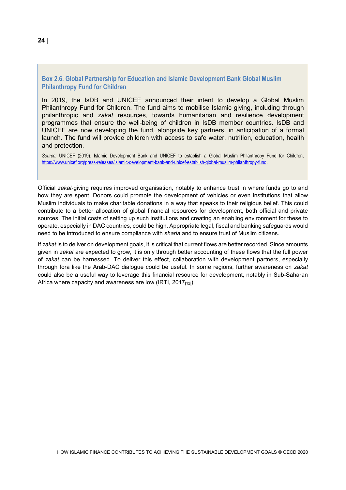#### <span id="page-23-0"></span>**Box 2.6. Global Partnership for Education and Islamic Development Bank Global Muslim Philanthropy Fund for Children**

In 2019, the IsDB and UNICEF announced their intent to develop a Global Muslim Philanthropy Fund for Children. The fund aims to mobilise Islamic giving, including through philanthropic and *zakat* resources, towards humanitarian and resilience development programmes that ensure the well-being of children in IsDB member countries. IsDB and UNICEF are now developing the fund, alongside key partners, in anticipation of a formal launch. The fund will provide children with access to safe water, nutrition, education, health and protection.

*Source:* UNICEF (2019), Islamic Development Bank and UNICEF to establish a Global Muslim Philanthropy Fund for Children, [https://www.unicef.org/press-releases/islamic-development-bank-and-unicef-establish-global-muslim-philanthropy-fund.](https://www.unicef.org/press-releases/islamic-development-bank-and-unicef-establish-global-muslim-philanthropy-fund)

Official *zakat*-giving requires improved organisation, notably to enhance trust in where funds go to and how they are spent. Donors could promote the development of vehicles or even institutions that allow Muslim individuals to make charitable donations in a way that speaks to their religious belief. This could contribute to a better allocation of global financial resources for development, both official and private sources. The initial costs of setting up such institutions and creating an enabling environment for these to operate, especially in DAC countries, could be high. Appropriate legal, fiscal and banking safeguards would need to be introduced to ensure compliance with *sharia* and to ensure trust of Muslim citizens.

If *zakat* is to deliver on development goals, it is critical that current flows are better recorded. Since amounts given in *zakat* are expected to grow, it is only through better accounting of these flows that the full power of *zakat* can be harnessed. To deliver this effect, collaboration with development partners, especially through fora like the Arab-DAC dialogue could be useful. In some regions, further awareness on *zakat* could also be a useful way to leverage this financial resource for development, notably in Sub-Saharan Africa where capacity and awareness are low (IRTI, 2017 $_{[12]}$ ).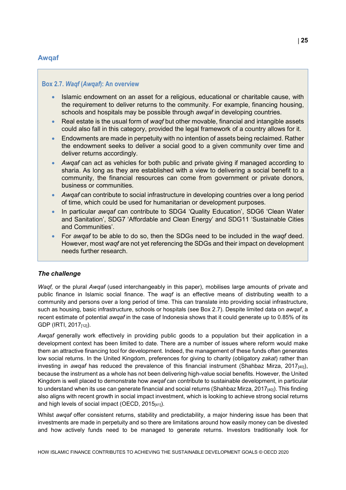#### <span id="page-24-0"></span>**Awqaf**

#### <span id="page-24-1"></span>**Box 2.7.** *Waqf* **(***Awqaf***): An overview**

- Islamic endowment on an asset for a religious, educational or charitable cause, with the requirement to deliver returns to the community. For example, financing housing, schools and hospitals may be possible through *awqaf* in developing countries.
- Real estate is the usual form of *waqf* but other movable, financial and intangible assets could also fall in this category, provided the legal framework of a country allows for it.
- Endowments are made in perpetuity with no intention of assets being reclaimed. Rather the endowment seeks to deliver a social good to a given community over time and deliver returns accordingly.
- *Awqaf* can act as vehicles for both public and private giving if managed according to sharia. As long as they are established with a view to delivering a social benefit to a community, the financial resources can come from government or private donors, business or communities.
- *Awqaf* can contribute to social infrastructure in developing countries over a long period of time, which could be used for humanitarian or development purposes.
- In particular *awqaf* can contribute to SDG4 'Quality Education', SDG6 'Clean Water and Sanitation', SDG7 'Affordable and Clean Energy' and SDG11 'Sustainable Cities and Communities'.
- For *awqaf* to be able to do so, then the SDGs need to be included in the *waqf* deed. However, most *waqf* are not yet referencing the SDGs and their impact on development needs further research.

#### *The challenge*

*Waqf,* or the plural *Awqaf* (used interchangeably in this paper), mobilises large amounts of private and public finance in Islamic social finance. The *waqf* is an effective means of distributing wealth to a community and persons over a long period of time. This can translate into providing social infrastructure, such as housing, basic infrastructure, schools or hospitals (see [Box](#page-24-1) 2.7). Despite limited data on *awqaf*, a recent estimate of potential *awqaf* in the case of Indonesia shows that it could generate up to 0.85% of its GDP (IRTI, 2017[12]).

*Awqaf* generally work effectively in providing public goods to a population but their application in a development context has been limited to date. There are a number of issues where reform would make them an attractive financing tool for development. Indeed, the management of these funds often generates low social returns. In the United Kingdom, preferences for giving to charity (obligatory *zakat*) rather than investing in *awqaf* has reduced the prevalence of this financial instrument (Shahbaz Mirza, 2017[40]), because the instrument as a whole has not been delivering high-value social benefits. However, the United Kingdom is well placed to demonstrate how *awqaf* can contribute to sustainable development, in particular to understand when its use can generate financial and social returns (Shahbaz Mirza, 2017 $_{[40]}$ ). This finding also aligns with recent growth in social impact investment, which is looking to achieve strong social returns and high levels of social impact (OECD, 2015[41]).

Whilst *awqaf* offer consistent returns, stability and predictability, a major hindering issue has been that investments are made in perpetuity and so there are limitations around how easily money can be divested and how actively funds need to be managed to generate returns. Investors traditionally look for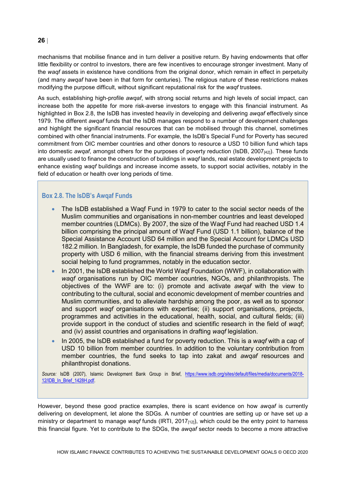mechanisms that mobilise finance and in turn deliver a positive return. By having endowments that offer little flexibility or control to investors, there are few incentives to encourage stronger investment. Many of the *waqf* assets in existence have conditions from the original donor, which remain in effect in perpetuity (and many *awqaf* have been in that form for centuries). The religious nature of these restrictions makes modifying the purpose difficult, without significant reputational risk for the *waqf* trustees.

As such, establishing high-profile *awqaf*, with strong social returns and high levels of social impact, can increase both the appetite for more risk-averse investors to engage with this financial instrument. As highlighted in [Box](#page-25-0) 2.8, the IsDB has invested heavily in developing and delivering *awqaf* effectively since 1979. The different *awqaf* funds that the IsDB manages respond to a number of development challenges and highlight the significant financial resources that can be mobilised through this channel, sometimes combined with other financial instruments. For example, the IsDB's Special Fund for Poverty has secured commitment from OIC member countries and other donors to resource a USD 10 billion fund which taps into domestic *awqaf*, amongst others for the purposes of poverty reduction (IsDB, 2007<sub>[42]</sub>). These funds are usually used to finance the construction of buildings in *waqf* lands, real estate development projects to enhance existing *waqf* buildings and increase income assets, to support social activities, notably in the field of education or health over long periods of time.

#### <span id="page-25-0"></span>**Box 2.8. The IsDB's Awqaf Funds**

- The IsDB established a Waqf Fund in 1979 to cater to the social sector needs of the Muslim communities and organisations in non-member countries and least developed member countries (LDMCs). By 2007, the size of the Waqf Fund had reached USD 1.4 billion comprising the principal amount of Waqf Fund (USD 1.1 billion), balance of the Special Assistance Account USD 64 million and the Special Account for LDMCs USD 182.2 million. In Bangladesh, for example, the IsDB funded the purchase of community property with USD 6 million, with the financial streams deriving from this investment social helping to fund programmes, notably in the education sector.
- In 2001, the IsDB established the World Waqf Foundation (WWF), in collaboration with *waqf* organisations run by OIC member countries, NGOs, and philanthropists. The objectives of the WWF are to: (i) promote and activate *awqaf* with the view to contributing to the cultural, social and economic development of member countries and Muslim communities, and to alleviate hardship among the poor, as well as to sponsor and support *waqf* organisations with expertise; (ii) support organisations, projects, programmes and activities in the educational, health, social, and cultural fields; (iii) provide support in the conduct of studies and scientific research in the field of *waqf*; and (iv) assist countries and organisations in drafting *waqf* legislation.
- In 2005, the IsDB established a fund for poverty reduction. This is a *waqf* with a cap of USD 10 billion from member countries. In addition to the voluntary contribution from member countries, the fund seeks to tap into zakat and *awqaf* resources and philanthropist donations.

*Source:* IsDB (2007), Islamic Development Bank Group in Brief, [https://www.isdb.org/sites/default/files/media/documents/2018-](https://www.isdb.org/sites/default/files/media/documents/2018-12/IDB_In_Brief_1428H.pdf) [12/IDB\\_In\\_Brief\\_1428H.pdf.](https://www.isdb.org/sites/default/files/media/documents/2018-12/IDB_In_Brief_1428H.pdf)

However, beyond these good practice examples, there is scant evidence on how *awqaf* is currently delivering on development, let alone the SDGs. A number of countries are setting up or have set up a ministry or department to manage *waqf* funds (IRTI, 2017[12]), which could be the entry point to harness this financial figure. Yet to contribute to the SDGs, the *awqaf* sector needs to become a more attractive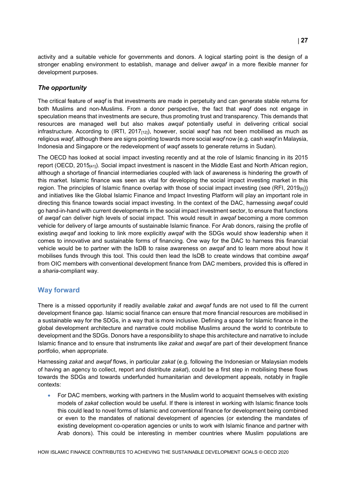activity and a suitable vehicle for governments and donors. A logical starting point is the design of a stronger enabling environment to establish, manage and deliver *awqaf* in a more flexible manner for development purposes.

#### *The opportunity*

The critical feature of *waqf* is that investments are made in perpetuity and can generate stable returns for both Muslims and non-Muslims. From a donor perspective, the fact that *waqf* does not engage in speculation means that investments are secure, thus promoting trust and transparency. This demands that resources are managed well but also makes *awqaf* potentially useful in delivering critical social infrastructure. According to (IRTI, 2017<sub>[12]</sub>), however, social *waqf* has not been mobilised as much as religious *waqf*, although there are signs pointing towards more social *waqf* now (e.g. cash *waqf* in Malaysia, Indonesia and Singapore or the redevelopment of *waqf* assets to generate returns in Sudan).

The OECD has looked at social impact investing recently and at the role of Islamic financing in its 2015 report (OECD, 2015[41]). Social impact investment is nascent in the Middle East and North African region, although a shortage of financial intermediaries coupled with lack of awareness is hindering the growth of this market. Islamic finance was seen as vital for developing the social impact investing market in this region. The principles of Islamic finance overlap with those of social impact investing (see (RFI,  $2019_{[6]}$ )) and initiatives like the Global Islamic Finance and Impact Investing Platform will play an important role in directing this finance towards social impact investing. In the context of the DAC, harnessing *awqaf* could go hand-in-hand with current developments in the social impact investment sector, to ensure that functions of *awqaf* can deliver high levels of social impact. This would result in *awqaf* becoming a more common vehicle for delivery of large amounts of sustainable Islamic finance. For Arab donors, raising the profile of existing *awqaf* and looking to link more explicitly *awqaf* with the SDGs would show leadership when it comes to innovative and sustainable forms of financing. One way for the DAC to harness this financial vehicle would be to partner with the IsDB to raise awareness on *awqaf* and to learn more about how it mobilises funds through this tool. This could then lead the IsDB to create windows that combine *awqaf* from OIC members with conventional development finance from DAC members, provided this is offered in a *sharia*-compliant way.

#### <span id="page-26-0"></span>**Way forward**

There is a missed opportunity if readily available *zakat* and *awqaf* funds are not used to fill the current development finance gap. Islamic social finance can ensure that more financial resources are mobilised in a sustainable way for the SDGs, in a way that is more inclusive. Defining a space for Islamic finance in the global development architecture and narrative could mobilise Muslims around the world to contribute to development and the SDGs. Donors have a responsibility to shape this architecture and narrative to include Islamic finance and to ensure that instruments like *zakat* and *awqaf* are part of their development finance portfolio, when appropriate.

Harnessing *zakat* and *awqaf* flows, in particular *zakat* (e.g. following the Indonesian or Malaysian models of having an agency to collect, report and distribute *zakat*), could be a first step in mobilising these flows towards the SDGs and towards underfunded humanitarian and development appeals, notably in fragile contexts:

• For DAC members, working with partners in the Muslim world to acquaint themselves with existing models of *zakat* collection would be useful. If there is interest in working with Islamic finance tools this could lead to novel forms of Islamic and conventional finance for development being combined or even to the mandates of national development of agencies (or extending the mandates of existing development co-operation agencies or units to work with Islamic finance and partner with Arab donors). This could be interesting in member countries where Muslim populations are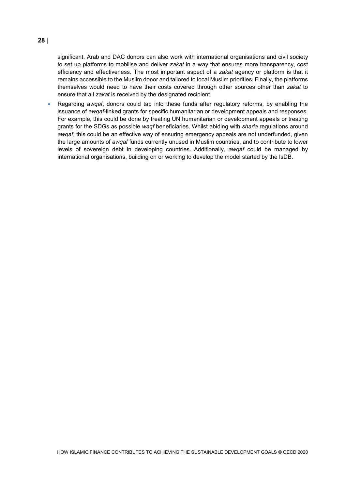significant. Arab and DAC donors can also work with international organisations and civil society to set up platforms to mobilise and deliver *zakat* in a way that ensures more transparency, cost efficiency and effectiveness. The most important aspect of a *zakat* agency or platform is that it remains accessible to the Muslim donor and tailored to local Muslim priorities. Finally, the platforms themselves would need to have their costs covered through other sources other than *zakat* to ensure that all *zakat* is received by the designated recipient.

• Regarding *awqaf*, donors could tap into these funds after regulatory reforms, by enabling the issuance of *awqaf*-linked grants for specific humanitarian or development appeals and responses. For example, this could be done by treating UN humanitarian or development appeals or treating grants for the SDGs as possible *waqf* beneficiaries. Whilst abiding with *sharia* regulations around *awqaf*, this could be an effective way of ensuring emergency appeals are not underfunded, given the large amounts of *awqaf* funds currently unused in Muslim countries, and to contribute to lower levels of sovereign debt in developing countries. Additionally*, awqaf* could be managed by international organisations, building on or working to develop the model started by the IsDB.

#### **28** |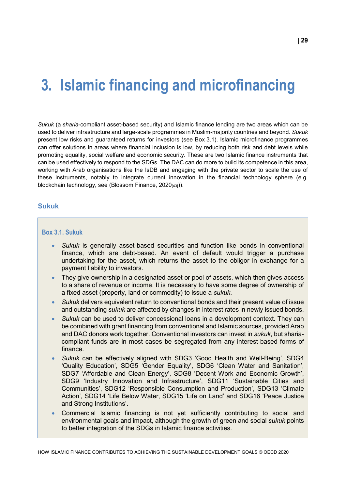### <span id="page-28-0"></span>**3. Islamic financing and microfinancing**

*Sukuk* (a *sharia*-compliant asset-based security) and Islamic finance lending are two areas which can be used to deliver infrastructure and large-scale programmes in Muslim-majority countries and beyond. *Sukuk* present low risks and guaranteed returns for investors (see [Box](#page-28-2) 3.1). Islamic microfinance programmes can offer solutions in areas where financial inclusion is low, by reducing both risk and debt levels while promoting equality, social welfare and economic security. These are two Islamic finance instruments that can be used effectively to respond to the SDGs. The DAC can do more to build its competence in this area, working with Arab organisations like the IsDB and engaging with the private sector to scale the use of these instruments, notably to integrate current innovation in the financial technology sphere (e.g. blockchain technology, see (Blossom Finance, 2020[43])).

#### <span id="page-28-1"></span>**Sukuk**

#### <span id="page-28-2"></span>**Box 3.1. Sukuk**

- *Sukuk* is generally asset-based securities and function like bonds in conventional finance, which are debt-based. An event of default would trigger a purchase undertaking for the asset, which returns the asset to the obligor in exchange for a payment liability to investors.
- They give ownership in a designated asset or pool of assets, which then gives access to a share of revenue or income. It is necessary to have some degree of ownership of a fixed asset (property, land or commodity) to issue a *sukuk*.
- *Sukuk* delivers equivalent return to conventional bonds and their present value of issue and outstanding *sukuk* are affected by changes in interest rates in newly issued bonds.
- *Sukuk* can be used to deliver concessional loans in a development context. They can be combined with grant financing from conventional and Islamic sources, provided Arab and DAC donors work together. Conventional investors can invest in *sukuk*, but shariacompliant funds are in most cases be segregated from any interest-based forms of finance.
- *Sukuk* can be effectively aligned with SDG3 'Good Health and Well-Being', SDG4 'Quality Education', SDG5 'Gender Equality', SDG6 'Clean Water and Sanitation', SDG7 'Affordable and Clean Energy', SDG8 'Decent Work and Economic Growth', SDG9 'Industry Innovation and Infrastructure', SDG11 'Sustainable Cities and Communities', SDG12 'Responsible Consumption and Production', SDG13 'Climate Action', SDG14 'Life Below Water, SDG15 'Life on Land' and SDG16 'Peace Justice and Strong Institutions'.
- Commercial Islamic financing is not yet sufficiently contributing to social and environmental goals and impact, although the growth of green and social *sukuk* points to better integration of the SDGs in Islamic finance activities.

HOW ISLAMIC FINANCE CONTRIBUTES TO ACHIEVING THE SUSTAINABLE DEVELOPMENT GOALS © OECD 2020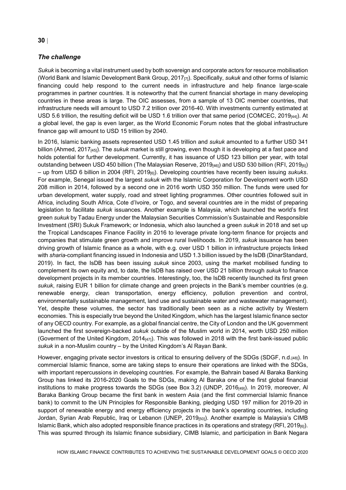#### *The challenge*

*Sukuk* is becoming a vital instrument used by both sovereign and corporate actors for resource mobilisation (World Bank and Islamic Development Bank Group, 2017[7]). Specifically, *sukuk* and other forms of Islamic financing could help respond to the current needs in infrastructure and help finance large-scale programmes in partner countries. It is noteworthy that the current financial shortage in many developing countries in these areas is large. The OIC assesses, from a sample of 13 OIC member countries, that infrastructure needs will amount to USD 7.2 trillion over 2016-40. With investments currently estimated at USD 5.6 trillion, the resulting deficit will be USD 1.6 trillion over that same period (COMCEC, 2019<sub>[44]</sub>). At a global level, the gap is even larger, as the World Economic Forum notes that the global infrastructure finance gap will amount to USD 15 trillion by 2040.

In 2016, Islamic banking assets represented USD 1.45 trillion and *sukuk* amounted to a further USD 341 billion (Ahmed, 2017[45]). The *sukuk* market is still growing, even though it is developing at a fast pace and holds potential for further development. Currently, it has issuance of USD 123 billion per year, with total outstanding between USD 450 billion (The Malaysian Reserve, 2019<sub>[46]</sub>) and USD 530 billion (RFI, 2019<sub>[6]</sub>) – up from USD 6 billion in 2004 (RFI, 2019[6]). Developing countries have recently been issuing *sukuks*. For example, Senegal issued the largest *sukuk* with the Islamic Corporation for Development worth USD 208 million in 2014, followed by a second one in 2016 worth USD 350 million. The funds were used for urban development, water supply, road and street lighting programmes. Other countries followed suit in Africa, including South Africa, Cote d'Ivoire, or Togo, and several countries are in the midst of preparing legislation to facilitate *sukuk* issuances. Another example is Malaysia, which launched the world's first green *sukuk* by Tadau Energy under the Malaysian Securities Commission's Sustainable and Responsible Investment (SRI) Sukuk Framework; or Indonesia, which also launched a green *sukuk* in 2018 and set up the Tropical Landscapes Finance Facility in 2016 to leverage private long-term finance for projects and companies that stimulate green growth and improve rural livelihoods. In 2019, *sukuk* issuance has been driving growth of Islamic finance as a whole, with e.g. over USD 1 billion in infrastructure projects linked with *sharia*-compliant financing issued in Indonesia and USD 1.3 billion issued by the IsDB (DinarStandard, 2019). In fact, the IsDB has been issuing *sukuk* since 2003, using the market mobilised funding to complement its own equity and, to date, the IsDB has raised over USD 21 billion through *sukuk* to finance development projects in its member countries. Interestingly, too, the IsDB recently launched its first green *sukuk*, raising EUR 1 billion for climate change and green projects in the Bank's member countries (e.g. renewable energy, clean transportation, energy efficiency, pollution prevention and control, environmentally sustainable management, land use and sustainable water and wastewater management). Yet, despite these volumes, the sector has traditionally been seen as a niche activity by Western economies. This is especially true beyond the United Kingdom, which has the largest Islamic finance sector of any OECD country. For example, as a global financial centre, the City of London and the UK government launched the first sovereign-backed *sukuk* outside of the Muslim world in 2014, worth USD 250 million (Goverment of the United Kingdom,  $2014_{[47]}$ ). This was followed in 2018 with the first bank-issued public *sukuk* in a non-Muslim country – by the United Kingdom's Al Rayan Bank.

However, engaging private sector investors is critical to ensuring delivery of the SDGs (SDGF, n.d.[48]). In commercial Islamic finance, some are taking steps to ensure their operations are linked with the SDGs, with important repercussions in developing countries. For example, the Bahrain based Al Baraka Banking Group has linked its 2016-2020 Goals to the SDGs, making Al Baraka one of the first global financial institutions to make progress towards the SDGs (see [Box](#page-30-0) 3.2) (UNDP, 2016[49]). In 2019, moreover, Al Baraka Banking Group became the first bank in western Asia (and the first commercial Islamic finance bank) to commit to the UN Principles for Responsible Banking, pledging USD 197 million for 2019-20 in support of renewable energy and energy efficiency projects in the bank's operating countries, including Jordan, Syrian Arab Republic, Iraq or Lebanon (UNEP, 2019<sub>[50]</sub>). Another example is Malaysia's CIMB Islamic Bank, which also adopted responsible finance practices in its operations and strategy (RFI, 2019 $_{[6]}$ ). This was spurred through its Islamic finance subsidiary, CIMB Islamic, and participation in Bank Negara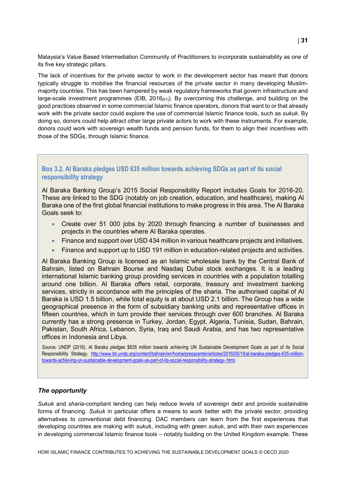Malaysia's Value Based Intermediation Community of Practitioners to incorporate sustainability as one of its five key strategic pillars.

The lack of incentives for the private sector to work in the development sector has meant that donors typically struggle to mobilise the financial resources of the private sector in many developing Muslimmajority countries. This has been hampered by weak regulatory frameworks that govern infrastructure and large-scale investment programmes (EIB, 2016[51]). By overcoming this challenge, and building on the good practices observed in some commercial Islamic finance operators, donors that want to or that already work with the private sector could explore the use of commercial Islamic finance tools, such as *sukuk*. By doing so, donors could help attract other large private actors to work with these instruments. For example, donors could work with sovereign wealth funds and pension funds, for them to align their incentives with those of the SDGs, through Islamic finance.

#### <span id="page-30-0"></span>**Box 3.2. Al Baraka pledges USD 635 million towards achieving SDGs as part of its social responsibility strategy**

Al Baraka Banking Group's 2015 Social Responsibility Report includes Goals for 2016-20. These are linked to the SDG (notably on job creation, education, and healthcare), making Al Baraka one of the first global financial institutions to make progress in this area. The Al Baraka Goals seek to:

- Create over 51 000 jobs by 2020 through financing a number of businesses and projects in the countries where Al Baraka operates.
- Finance and support over USD 434 million in various healthcare projects and initiatives.
- Finance and support up to USD 191 million in education-related projects and activities.

Al Baraka Banking Group is licensed as an Islamic wholesale bank by the Central Bank of Bahrain, listed on Bahrain Bourse and Nasdaq Dubai stock exchanges. It is a leading international Islamic banking group providing services in countries with a population totalling around one billion. Al Baraka offers retail, corporate, treasury and investment banking services, strictly in accordance with the principles of the sharia. The authorised capital of Al Baraka is USD 1.5 billion, while total equity is at about USD 2.1 billion. The Group has a wide geographical presence in the form of subsidiary banking units and representative offices in fifteen countries, which in turn provide their services through over 600 branches. Al Baraka currently has a strong presence in Turkey, Jordan, Egypt, Algeria, Tunisia, Sudan, Bahrain, Pakistan, South Africa, Lebanon, Syria, Iraq and Saudi Arabia, and has two representative offices in Indonesia and Libya.

*Source:* UNDP (2016), Al Baraka pledges \$635 million towards achieving UN Sustainable Development Goals as part of its Social Responsibility Strategy, [http://www.bh.undp.org/content/bahrain/en/home/presscenter/articles/2016/05/19/al-baraka-pledges-635-million](http://www.bh.undp.org/content/bahrain/en/home/presscenter/articles/2016/05/19/al-baraka-pledges-635-million-towards-achieving-un-sustainable-development-goals-as-part-of-its-social-responsibility-strategy-.html)[towards-achieving-un-sustainable-development-goals-as-part-of-its-social-responsibility-strategy-.html.](http://www.bh.undp.org/content/bahrain/en/home/presscenter/articles/2016/05/19/al-baraka-pledges-635-million-towards-achieving-un-sustainable-development-goals-as-part-of-its-social-responsibility-strategy-.html)

#### *The opportunity*

*Sukuk* and *sharia*-compliant lending can help reduce levels of sovereign debt and provide sustainable forms of financing. *Sukuk* in particular offers a means to work better with the private sector, providing alternatives to conventional debt financing. DAC members can learn from the first experiences that developing countries are making with *sukuk*, including with green *sukuk*, and with their own experiences in developing commercial Islamic finance tools – notably building on the United Kingdom example. These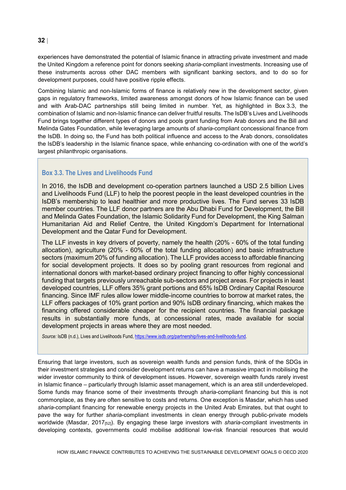experiences have demonstrated the potential of Islamic finance in attracting private investment and made the United Kingdom a reference point for donors seeking *sharia*-compliant investments. Increasing use of these instruments across other DAC members with significant banking sectors, and to do so for development purposes, could have positive ripple effects.

Combining Islamic and non-Islamic forms of finance is relatively new in the development sector, given gaps in regulatory frameworks, limited awareness amongst donors of how Islamic finance can be used and with Arab-DAC partnerships still being limited in number. Yet, as highlighted in [Box](#page-31-0) 3.3, the combination of Islamic and non-Islamic finance can deliver fruitful results. The IsDB's Lives and Livelihoods Fund brings together different types of donors and pools grant funding from Arab donors and the Bill and Melinda Gates Foundation, while leveraging large amounts of *sharia*-compliant concessional finance from the IsDB. In doing so, the Fund has both political influence and access to the Arab donors, consolidates the IsDB's leadership in the Islamic finance space, while enhancing co-ordination with one of the world's largest philanthropic organisations.

#### <span id="page-31-0"></span>**Box 3.3. The Lives and Livelihoods Fund**

In 2016, the IsDB and development co-operation partners launched a USD 2.5 billion Lives and Livelihoods Fund (LLF) to help the poorest people in the least developed countries in the IsDB's membership to lead healthier and more productive lives. The Fund serves 33 IsDB member countries. The LLF donor partners are the Abu Dhabi Fund for Development, the Bill and Melinda Gates Foundation, the Islamic Solidarity Fund for Development, the King Salman Humanitarian Aid and Relief Centre, the United Kingdom's Department for International Development and the Qatar Fund for Development.

The LLF invests in key drivers of poverty, namely the health (20% - 60% of the total funding allocation), agriculture (20% - 60% of the total funding allocation) and basic infrastructure sectors (maximum 20% of funding allocation). The LLF provides access to affordable financing for social development projects. It does so by pooling grant resources from regional and international donors with market-based ordinary project financing to offer highly concessional funding that targets previously unreachable sub-sectors and project areas. For projects in least developed countries, LLF offers 35% grant portions and 65% IsDB Ordinary Capital Resource financing. Since IMF rules allow lower middle-income countries to borrow at market rates, the LLF offers packages of 10% grant portion and 90% IsDB ordinary financing, which makes the financing offered considerable cheaper for the recipient countries. The financial package results in substantially more funds, at concessional rates, made available for social development projects in areas where they are most needed.

*Source:* IsDB (n.d.), Lives and Livelihoods Fund[, https://www.isdb.org/partnership/lives-and-livelihoods-fund.](https://www.isdb.org/partnership/lives-and-livelihoods-fund)

Ensuring that large investors, such as sovereign wealth funds and pension funds, think of the SDGs in their investment strategies and consider development returns can have a massive impact in mobilising the wider investor community to think of development issues. However, sovereign wealth funds rarely invest in Islamic finance – particularly through Islamic asset management, which is an area still underdeveloped. Some funds may finance some of their investments through *sharia*-compliant financing but this is not commonplace, as they are often sensitive to costs and returns. One exception is Masdar, which has used *sharia*-compliant financing for renewable energy projects in the United Arab Emirates, but that ought to pave the way for further *sharia*-compliant investments in clean energy through public-private models worldwide (Masdar, 2017<sub>[52]</sub>). By engaging these large investors with *sharia*-compliant investments in developing contexts, governments could mobilise additional low-risk financial resources that would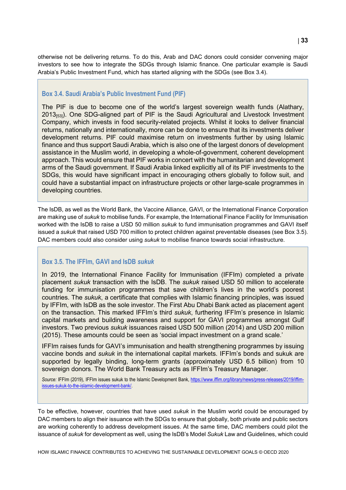otherwise not be delivering returns. To do this, Arab and DAC donors could consider convening major investors to see how to integrate the SDGs through Islamic finance. One particular example is Saudi Arabia's Public Investment Fund, which has started aligning with the SDGs (see [Box](#page-32-0) 3.4).

#### <span id="page-32-0"></span>**Box 3.4. Saudi Arabia's Public Investment Fund (PIF)**

The PIF is due to become one of the world's largest sovereign wealth funds (Alathary, 2013<sub>[53]</sub>). One SDG-aligned part of PIF is the Saudi Agricultural and Livestock Investment Company, which invests in food security-related projects. Whilst it looks to deliver financial returns, nationally and internationally, more can be done to ensure that its investments deliver development returns. PIF could maximise return on investments further by using Islamic finance and thus support Saudi Arabia, which is also one of the largest donors of development assistance in the Muslim world, in developing a whole-of-government, coherent development approach. This would ensure that PIF works in concert with the humanitarian and development arms of the Saudi government. If Saudi Arabia linked explicitly all of its PIF investments to the SDGs, this would have significant impact in encouraging others globally to follow suit, and could have a substantial impact on infrastructure projects or other large-scale programmes in developing countries.

The IsDB, as well as the World Bank, the Vaccine Alliance, GAVI, or the International Finance Corporation are making use of *sukuk* to mobilise funds. For example, the International Finance Facility for Immunisation worked with the IsDB to raise a USD 50 million *sukuk* to fund immunisation programmes and GAVI itself issued a *sukuk* that raised USD 700 million to protect children against preventable diseases (see [Box](#page-32-1) 3.5). DAC members could also consider using *sukuk* to mobilise finance towards social infrastructure.

#### <span id="page-32-1"></span>**Box 3.5. The IFFIm, GAVI and IsDB** *sukuk*

In 2019, the International Finance Facility for Immunisation (IFFIm) completed a private placement *sukuk* transaction with the IsDB. The *sukuk* raised USD 50 million to accelerate funding for immunisation programmes that save children's lives in the world's poorest countries. The *sukuk*, a certificate that complies with Islamic financing principles, was issued by IFFIm, with IsDB as the sole investor. The First Abu Dhabi Bank acted as placement agent on the transaction. This marked IFFIm's third *sukuk*, furthering IFFIm's presence in Islamic capital markets and building awareness and support for GAVI programmes amongst Gulf investors. Two previous *sukuk* issuances raised USD 500 million (2014) and USD 200 million (2015). These amounts could be seen as 'social impact investment on a grand scale.'

IFFIm raises funds for GAVI's immunisation and health strengthening programmes by issuing vaccine bonds and *sukuk* in the international capital markets. IFFIm's bonds and sukuk are supported by legally binding, long-term grants (approximately USD 6.5 billion) from 10 sovereign donors. The World Bank Treasury acts as IFFIm's Treasury Manager.

*Source:* IFFIm (2019), IFFIm issues sukuk to the Islamic Development Bank, [https://www.iffim.org/library/news/press-releases/2019/iffim](https://www.iffim.org/library/news/press-releases/2019/iffim-issues-sukuk-to-the-islamic-development-bank/)[issues-sukuk-to-the-islamic-development-bank/.](https://www.iffim.org/library/news/press-releases/2019/iffim-issues-sukuk-to-the-islamic-development-bank/)

To be effective, however, countries that have used *sukuk* in the Muslim world could be encouraged by DAC members to align their issuance with the SDGs to ensure that globally, both private and public sectors are working coherently to address development issues. At the same time, DAC members could pilot the issuance of *sukuk* for development as well, using the IsDB's Model *Sukuk* Law and Guidelines, which could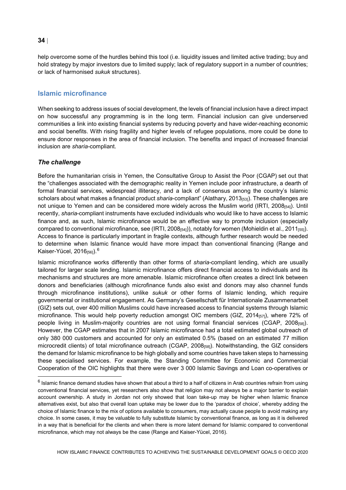help overcome some of the hurdles behind this tool (i.e. liquidity issues and limited active trading; buy and hold strategy by major investors due to limited supply; lack of regulatory support in a number of countries; or lack of harmonised *sukuk* structures).

#### <span id="page-33-0"></span>**Islamic microfinance**

When seeking to address issues of social development, the levels of financial inclusion have a direct impact on how successful any programming is in the long term. Financial inclusion can give underserved communities a link into existing financial systems by reducing poverty and have wider-reaching economic and social benefits. With rising fragility and higher levels of refugee populations, more could be done to ensure donor responses in the area of financial inclusion. The benefits and impact of increased financial inclusion are *sharia-*compliant.

#### *The challenge*

Before the humanitarian crisis in Yemen, the Consultative Group to Assist the Poor (CGAP) set out that the "challenges associated with the demographic reality in Yemen include poor infrastructure, a dearth of formal financial services, widespread illiteracy, and a lack of consensus among the country's Islamic scholars about what makes a financial product *sharia*-compliant" (Alathary, 2013<sub>[53]</sub>). These challenges are not unique to Yemen and can be considered more widely across the Muslim world (IRTI, 2008[54]). Until recently, *sharia*-compliant instruments have excluded individuals who would like to have access to Islamic finance and, as such, Islamic microfinance would be an effective way to promote inclusion (especially compared to conventional microfinance, see (IRTI, 2008 $_{[54]}$ ), notably for women (Mohieldin et al., 2011 $_{[55]}$ ). Access to finance is particularly important in fragile contexts, although further research would be needed to determine when Islamic finance would have more impact than conventional financing (Range and Kaiser-Yücel, 201[6](#page-33-1)<sub>[56]</sub>).<sup>6</sup>

Islamic microfinance works differently than other forms of *sharia-*compliant lending, which are usually tailored for larger scale lending. Islamic microfinance offers direct financial access to individuals and its mechanisms and structures are more amenable. Islamic microfinance often creates a direct link between donors and beneficiaries (although microfinance funds also exist and donors may also channel funds through microfinance institutions), unlike *sukuk* or other forms of Islamic lending, which require governmental or institutional engagement. As Germany's Gesellschaft für Internationale Zusammenarbeit (GIZ) sets out, over 400 million Muslims could have increased access to financial systems through Islamic microfinance. This would help poverty reduction amongst OIC members (GIZ, 2014 $_{[57]}$ ), where 72% of people living in Muslim-majority countries are not using formal financial services (CGAP, 2008[58]). However, the CGAP estimates that in 2007 Islamic microfinance had a total estimated global outreach of only 380 000 customers and accounted for only an estimated 0.5% (based on an estimated 77 million microcredit clients) of total microfinance outreach (CGAP, 2008[58]). Notwithstanding, the GIZ considers the demand for Islamic microfinance to be high globally and some countries have taken steps to harnessing these specialised services. For example, the Standing Committee for Economic and Commercial Cooperation of the OIC highlights that there were over 3 000 Islamic Savings and Loan co-operatives or

<span id="page-33-1"></span> $6$  Islamic finance demand studies have shown that about a third to a half of citizens in Arab countries refrain from using conventional financial services, yet researchers also show that religion may not always be a major barrier to explain account ownership. A study in Jordan not only showed that loan take-up may be higher when Islamic finance alternatives exist, but also that overall loan uptake may be lower due to the 'paradox of choice', whereby adding the choice of Islamic finance to the mix of options available to consumers, may actually cause people to avoid making any choice. In some cases, it may be valuable to fully substitute Islamic by conventional finance, as long as it is delivered in a way that is beneficial for the clients and when there is more latent demand for Islamic compared to conventional microfinance, which may not always be the case (Range and Kaiser-Yücel, 2016).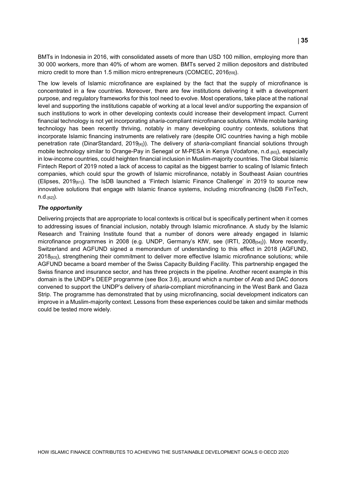BMTs in Indonesia in 2016, with consolidated assets of more than USD 100 million, employing more than 30 000 workers, more than 40% of whom are women. BMTs served 2 million depositors and distributed micro credit to more than 1.5 million micro entrepreneurs (COMCEC, 2016[59]).

The low levels of Islamic microfinance are explained by the fact that the supply of microfinance is concentrated in a few countries. Moreover, there are few institutions delivering it with a development purpose, and regulatory frameworks for this tool need to evolve. Most operations, take place at the national level and supporting the institutions capable of working at a local level and/or supporting the expansion of such institutions to work in other developing contexts could increase their development impact. Current financial technology is not yet incorporating *sharia*-compliant microfinance solutions. While mobile banking technology has been recently thriving, notably in many developing country contexts, solutions that incorporate Islamic financing instruments are relatively rare (despite OIC countries having a high mobile penetration rate (DinarStandard, 2019[4])). The delivery of *sharia*-compliant financial solutions through mobile technology similar to Orange-Pay in Senegal or M-PESA in Kenya (Vodafone, n.d.[60]), especially in low-income countries, could heighten financial inclusion in Muslim-majority countries. The Global Islamic Fintech Report of 2019 noted a lack of access to capital as the biggest barrier to scaling of Islamic fintech companies, which could spur the growth of Islamic microfinance, notably in Southeast Asian countries (Elipses, 2019 $_{[61]}$ ). The IsDB launched a 'Fintech Islamic Finance Challenge' in 2019 to source new innovative solutions that engage with Islamic finance systems, including microfinancing (IsDB FinTech, n.d.[62]).

#### *The opportunity*

Delivering projects that are appropriate to local contexts is critical but is specifically pertinent when it comes to addressing issues of financial inclusion, notably through Islamic microfinance. A study by the Islamic Research and Training Institute found that a number of donors were already engaged in Islamic microfinance programmes in 2008 (e.g. UNDP, Germany's KfW, see (IRTI, 2008[54])). More recently, Switzerland and AGFUND signed a memorandum of understanding to this effect in 2018 (AGFUND, 2018<sub>[63]</sub>), strengthening their commitment to deliver more effective Islamic microfinance solutions; while AGFUND became a board member of the Swiss Capacity Building Facility. This partnership engaged the Swiss finance and insurance sector, and has three projects in the pipeline. Another recent example in this domain is the UNDP's DEEP programme (see [Box](#page-35-1) 3.6), around which a number of Arab and DAC donors convened to support the UNDP's delivery of *sharia*-compliant microfinancing in the West Bank and Gaza Strip. The programme has demonstrated that by using microfinancing, social development indicators can improve in a Muslim-majority context. Lessons from these experiences could be taken and similar methods could be tested more widely.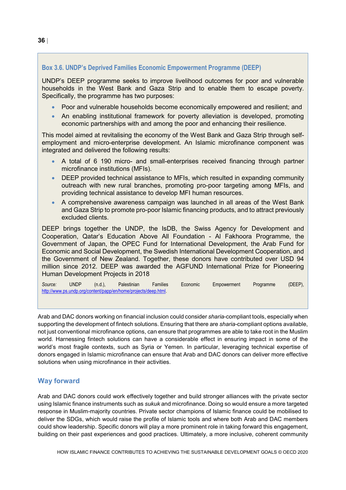#### <span id="page-35-1"></span>**Box 3.6. UNDP's Deprived Families Economic Empowerment Programme (DEEP)**

UNDP's DEEP programme seeks to improve livelihood outcomes for poor and vulnerable households in the West Bank and Gaza Strip and to enable them to escape poverty. Specifically, the programme has two purposes:

- Poor and vulnerable households become economically empowered and resilient; and
- An enabling institutional framework for poverty alleviation is developed, promoting economic partnerships with and among the poor and enhancing their resilience.

This model aimed at revitalising the economy of the West Bank and Gaza Strip through selfemployment and micro-enterprise development. An Islamic microfinance component was integrated and delivered the following results:

- A total of 6 190 micro- and small-enterprises received financing through partner microfinance institutions (MFIs).
- DEEP provided technical assistance to MFIs, which resulted in expanding community outreach with new rural branches, promoting pro-poor targeting among MFIs, and providing technical assistance to develop MFI human resources.
- A comprehensive awareness campaign was launched in all areas of the West Bank and Gaza Strip to promote pro-poor Islamic financing products, and to attract previously excluded clients.

DEEP brings together the UNDP, the IsDB, the Swiss Agency for Development and Cooperation, Qatar's Education Above All Foundation - Al Fakhoora Programme, the Government of Japan, the OPEC Fund for International Development, the Arab Fund for Economic and Social Development, the Swedish International Development Cooperation, and the Government of New Zealand. Together, these donors have contributed over USD 94 million since 2012. DEEP was awarded the AGFUND International Prize for Pioneering Human Development Projects in 2018

*Source:* UNDP (n.d.), Palestinian Families Economic Empowerment Programme (DEEP), [http://www.ps.undp.org/content/papp/en/home/projects/deep.html.](http://www.ps.undp.org/content/papp/en/home/projects/deep.html)

Arab and DAC donors working on financial inclusion could consider *sharia*-compliant tools, especially when supporting the development of fintech solutions. Ensuring that there are *sharia-*compliant options available, not just conventional microfinance options, can ensure that programmes are able to take root in the Muslim world. Harnessing fintech solutions can have a considerable effect in ensuring impact in some of the world's most fragile contexts, such as Syria or Yemen. In particular, leveraging technical expertise of donors engaged in Islamic microfinance can ensure that Arab and DAC donors can deliver more effective solutions when using microfinance in their activities.

#### <span id="page-35-0"></span>**Way forward**

Arab and DAC donors could work effectively together and build stronger alliances with the private sector using Islamic finance instruments such as *sukuk* and microfinance. Doing so would ensure a more targeted response in Muslim-majority countries. Private sector champions of Islamic finance could be mobilised to deliver the SDGs, which would raise the profile of Islamic tools and where both Arab and DAC members could show leadership. Specific donors will play a more prominent role in taking forward this engagement, building on their past experiences and good practices. Ultimately, a more inclusive, coherent community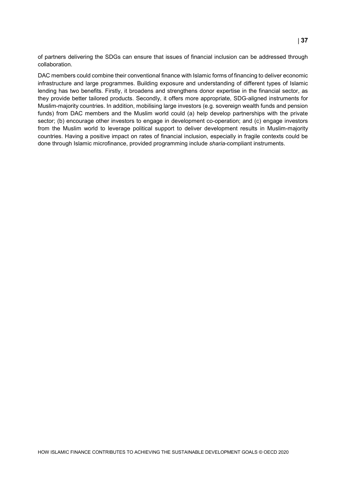of partners delivering the SDGs can ensure that issues of financial inclusion can be addressed through collaboration.

DAC members could combine their conventional finance with Islamic forms of financing to deliver economic infrastructure and large programmes. Building exposure and understanding of different types of Islamic lending has two benefits. Firstly, it broadens and strengthens donor expertise in the financial sector, as they provide better tailored products. Secondly, it offers more appropriate, SDG-aligned instruments for Muslim-majority countries. In addition, mobilising large investors (e.g. sovereign wealth funds and pension funds) from DAC members and the Muslim world could (a) help develop partnerships with the private sector; (b) encourage other investors to engage in development co-operation; and (c) engage investors from the Muslim world to leverage political support to deliver development results in Muslim-majority countries. Having a positive impact on rates of financial inclusion, especially in fragile contexts could be done through Islamic microfinance, provided programming include *sharia*-compliant instruments.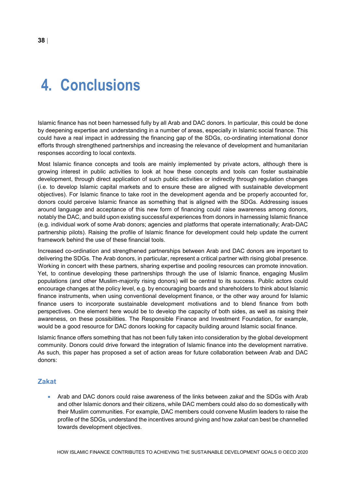<span id="page-37-0"></span>Islamic finance has not been harnessed fully by all Arab and DAC donors. In particular, this could be done by deepening expertise and understanding in a number of areas, especially in Islamic social finance. This could have a real impact in addressing the financing gap of the SDGs, co-ordinating international donor efforts through strengthened partnerships and increasing the relevance of development and humanitarian responses according to local contexts.

Most Islamic finance concepts and tools are mainly implemented by private actors, although there is growing interest in public activities to look at how these concepts and tools can foster sustainable development, through direct application of such public activities or indirectly through regulation changes (i.e. to develop Islamic capital markets and to ensure these are aligned with sustainable development objectives). For Islamic finance to take root in the development agenda and be properly accounted for, donors could perceive Islamic finance as something that is aligned with the SDGs. Addressing issues around language and acceptance of this new form of financing could raise awareness among donors, notably the DAC, and build upon existing successful experiences from donors in harnessing Islamic finance (e.g. individual work of some Arab donors; agencies and platforms that operate internationally; Arab-DAC partnership pilots). Raising the profile of Islamic finance for development could help update the current framework behind the use of these financial tools.

Increased co-ordination and strengthened partnerships between Arab and DAC donors are important to delivering the SDGs. The Arab donors, in particular, represent a critical partner with rising global presence. Working in concert with these partners, sharing expertise and pooling resources can promote innovation. Yet, to continue developing these partnerships through the use of Islamic finance, engaging Muslim populations (and other Muslim-majority rising donors) will be central to its success. Public actors could encourage changes at the policy level, e.g. by encouraging boards and shareholders to think about Islamic finance instruments, when using conventional development finance, or the other way around for Islamic finance users to incorporate sustainable development motivations and to blend finance from both perspectives. One element here would be to develop the capacity of both sides, as well as raising their awareness, on these possibilities. The Responsible Finance and Investment Foundation, for example, would be a good resource for DAC donors looking for capacity building around Islamic social finance.

Islamic finance offers something that has not been fully taken into consideration by the global development community. Donors could drive forward the integration of Islamic finance into the development narrative. As such, this paper has proposed a set of action areas for future collaboration between Arab and DAC donors:

#### <span id="page-37-1"></span>**Zakat**

• Arab and DAC donors could raise awareness of the links between *zakat* and the SDGs with Arab and other Islamic donors and their citizens, while DAC members could also do so domestically with their Muslim communities. For example, DAC members could convene Muslim leaders to raise the profile of the SDGs, understand the incentives around giving and how *zakat* can best be channelled towards development objectives.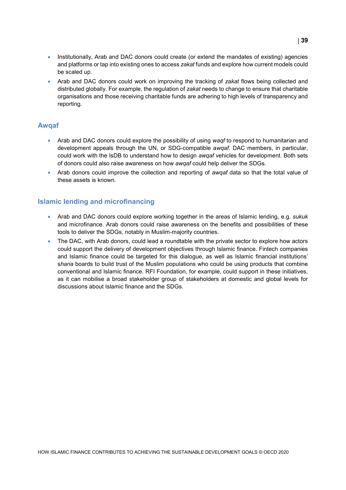- Institutionally, Arab and DAC donors could create (or extend the mandates of existing) agencies and platforms or tap into existing ones to access *zakat* funds and explore how current models could be scaled up.
- Arab and DAC donors could work on improving the tracking of *zakat* flows being collected and distributed globally. For example, the regulation of *zakat* needs to change to ensure that charitable organisations and those receiving charitable funds are adhering to high levels of transparency and reporting.

#### <span id="page-38-0"></span>**Awqaf**

- Arab and DAC donors could explore the possibility of using *waqf* to respond to humanitarian and development appeals through the UN, or SDG-compatible a*wqaf*. DAC members, in particular, could work with the IsDB to understand how to design *awqaf* vehicles for development. Both sets of donors could also raise awareness on how *awqaf* could help deliver the SDGs.
- Arab donors could improve the collection and reporting of *awqaf* data so that the total value of these assets is known.

#### <span id="page-38-1"></span>**Islamic lending and microfinancing**

- Arab and DAC donors could explore working together in the areas of Islamic lending, e.g. *sukuk* and microfinance. Arab donors could raise awareness on the benefits and possibilities of these tools to deliver the SDGs, notably in Muslim-majority countries.
- The DAC, with Arab donors, could lead a roundtable with the private sector to explore how actors could support the delivery of development objectives through Islamic finance. Fintech companies and Islamic finance could be targeted for this dialogue, as well as Islamic financial institutions' s*haria* boards to build trust of the Muslim populations who could be using products that combine conventional and Islamic finance. RFI Foundation, for example, could support in these initiatives, as it can mobilise a broad stakeholder group of stakeholders at domestic and global levels for discussions about Islamic finance and the SDGs.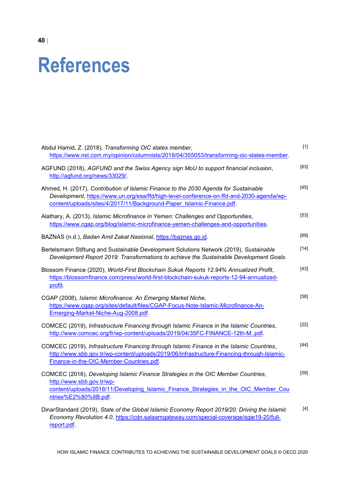## <span id="page-39-0"></span>**References**

| Abdul Hamid, Z. (2018), Transforming OIC states member,<br>https://www.nst.com.my/opinion/columnists/2018/04/355053/transforming-oic-states-member.                                                                                                       | $[1]$  |
|-----------------------------------------------------------------------------------------------------------------------------------------------------------------------------------------------------------------------------------------------------------|--------|
| AGFUND (2018), AGFUND and the Swiss Agency sign MoU to support financial inclusion,<br>http://agfund.org/news/33029/.                                                                                                                                     | $[63]$ |
| Ahmed, H. (2017), Contribution of Islamic Finance to the 2030 Agenda for Sustainable<br>Development, https://www.un.org/esa/ffd/high-level-conference-on-ffd-and-2030-agenda/wp-<br>content/uploads/sites/4/2017/11/Background-Paper Islamic-Finance.pdf. | $[45]$ |
| Alathary, A. (2013), Islamic Microfinance in Yemen: Challenges and Opportunities,<br>https://www.cgap.org/blog/islamic-microfinance-yemen-challenges-and-opportunities.                                                                                   | $[53]$ |
| BAZNAS (n.d.), Badan Amil Zakat Nasional, https://baznas.go.id.                                                                                                                                                                                           | $[69]$ |
| Bertelsmann Stiftung and Sustainable Development Solutions Network (2019), Sustainable<br>Development Report 2019: Transformations to achieve the Sustainable Development Goals.                                                                          | $[14]$ |
| Blossom Finance (2020), World-First Blockchain Sukuk Reports 12.94% Annualized Profit,<br>https://blossomfinance.com/press/world-first-blockchain-sukuk-reports-12-94-annualized-<br>profit.                                                              | $[43]$ |
| CGAP (2008), Islamic Microfinance: An Emerging Market Niche,<br>https://www.cgap.org/sites/default/files/CGAP-Focus-Note-Islamic-Microfinance-An-<br>Emerging-Market-Niche-Aug-2008.pdf.                                                                  | $[58]$ |
| COMCEC (2019), Infrastructure Financing through Islamic Finance in the Islamic Countries,<br>http://www.comcec.org/fr/wp-content/uploads/2019/04/35FC-FINANCE-12th-Mpdf.                                                                                  | $[22]$ |
| COMCEC (2019), Infrastructure Financing through Islamic Finance in the Islamic Countries,<br>http://www.sbb.gov.tr/wp-content/uploads/2019/06/Infrastructure-Financing-through-Islamic-<br>Finance-in-the-OIC-Member-Countries.pdf.                       | $[44]$ |
| COMCEC (2016), Developing Islamic Finance Strategies in the OIC Member Countries,<br>http://www.sbb.gov.tr/wp-<br>content/uploads/2018/11/Developing Islamic Finance Strategies in the OIC Member Cou<br>ntries%E2%80%8B.pdf.                             | $[59]$ |
| DinarStandard (2019), State of the Global Islamic Economy Report 2019/20: Driving the Islamic<br>Economy Revolution 4.0, https://cdn.salaamgateway.com/special-coverage/sgie19-20/full-<br>report.pdf.                                                    | $[4]$  |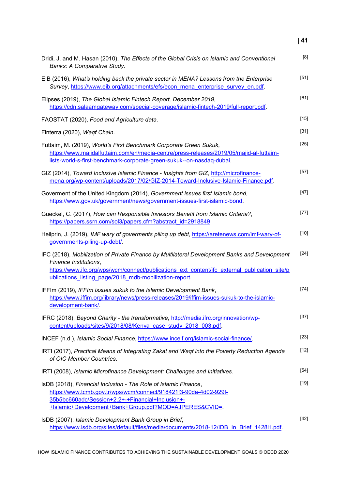| Dridi, J. and M. Hasan (2010), The Effects of the Global Crisis on Islamic and Conventional<br>Banks: A Comparative Study.                                                                                                                                                       | [8]    |
|----------------------------------------------------------------------------------------------------------------------------------------------------------------------------------------------------------------------------------------------------------------------------------|--------|
| EIB (2016), What's holding back the private sector in MENA? Lessons from the Enterprise<br>Survey, https://www.eib.org/attachments/efs/econ mena enterprise survey en.pdf.                                                                                                       | $[51]$ |
| Elipses (2019), The Global Islamic Fintech Report, December 2019,<br>https://cdn.salaamgateway.com/special-coverage/islamic-fintech-2019/full-report.pdf.                                                                                                                        | $[61]$ |
| FAOSTAT (2020), Food and Agriculture data.                                                                                                                                                                                                                                       | $[15]$ |
| Finterra (2020), Waqf Chain.                                                                                                                                                                                                                                                     | $[31]$ |
| Futtaim, M. (2019), World's First Benchmark Corporate Green Sukuk,<br>https://www.majidalfuttaim.com/en/media-centre/press-releases/2019/05/majid-al-futtaim-<br>lists-world-s-first-benchmark-corporate-green-sukuk--on-nasdaq-dubai.                                           | $[25]$ |
| GIZ (2014), Toward Inclusive Islamic Finance - Insights from GIZ, http://microfinance-<br>mena.org/wp-content/uploads/2017/02/GIZ-2014-Toward-Inclusive-Islamic-Finance.pdf.                                                                                                     | $[57]$ |
| Goverment of the United Kingdom (2014), Government issues first Islamic bond,<br>https://www.gov.uk/government/news/government-issues-first-islamic-bond.                                                                                                                        | $[47]$ |
| Gueckel, C. (2017), How can Responsible Investors Benefit from Islamic Criteria?,<br>https://papers.ssrn.com/sol3/papers.cfm?abstract_id=2918849.                                                                                                                                | $[77]$ |
| Heilprin, J. (2019), IMF wary of goverments piling up debt, https://aretenews.com/imf-wary-of-<br>governments-piling-up-debt/.                                                                                                                                                   | $[10]$ |
| IFC (2018), Mobilization of Private Finance by Multilateral Development Banks and Development<br>Finance Institutions,<br>https://www.ifc.org/wps/wcm/connect/publications ext content/ifc external publication site/p<br>ublications_listing_page/2018_mdb-mobilization-report. | $[24]$ |
| IFFIm (2019), IFFIm issues sukuk to the Islamic Development Bank,<br>https://www.iffim.org/library/news/press-releases/2019/iffim-issues-sukuk-to-the-islamic-<br>development-bank/.                                                                                             | $[74]$ |
| IFRC (2018), Beyond Charity - the transformative, http://media.ifrc.org/innovation/wp-<br>content/uploads/sites/9/2018/08/Kenya case study 2018 003.pdf.                                                                                                                         | $[37]$ |
| INCEF (n.d.), Islamic Social Finance, https://www.inceif.org/islamic-social-finance/.                                                                                                                                                                                            | $[23]$ |
| IRTI (2017), Practical Means of Integrating Zakat and Waqf into the Poverty Reduction Agenda<br>of OIC Member Countries.                                                                                                                                                         | $[12]$ |
| IRTI (2008), Islamic Microfinance Development: Challenges and Initiatives.                                                                                                                                                                                                       | $[54]$ |
| IsDB (2018), Financial Inclusion - The Role of Islamic Finance,<br>https://www.tcmb.gov.tr/wps/wcm/connect/918421f3-90da-4d02-929f-<br>35b5bc660adc/Session+2.2+-+Financial+Inclusion+-<br>+Islamic+Development+Bank+Group.pdf?MOD=AJPERES&CVID=.                                | $[19]$ |
| IsDB (2007), Islamic Development Bank Group in Brief,<br>https://www.isdb.org/sites/default/files/media/documents/2018-12/IDB In Brief 1428H.pdf.                                                                                                                                | $[42]$ |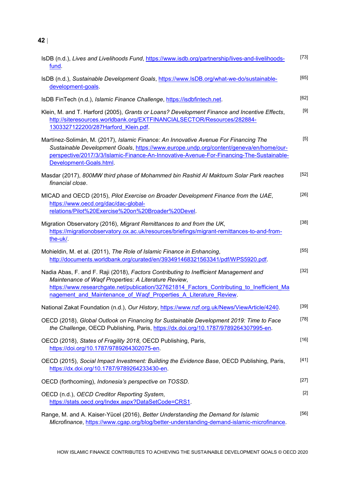| IsDB (n.d.), Lives and Livelihoods Fund, https://www.isdb.org/partnership/lives-and-livelihoods-<br>fund.                                                                                                                                                                                                      | $[73]$ |
|----------------------------------------------------------------------------------------------------------------------------------------------------------------------------------------------------------------------------------------------------------------------------------------------------------------|--------|
| IsDB (n.d.), Sustainable Development Goals, https://www.IsDB.org/what-we-do/sustainable-<br>development-goals.                                                                                                                                                                                                 | [65]   |
| IsDB FinTech (n.d.), Islamic Finance Challenge, https://isdbfintech.net.                                                                                                                                                                                                                                       | $[62]$ |
| Klein, M. and T. Harford (2005), Grants or Loans? Development Finance and Incentive Effects,<br>http://siteresources.worldbank.org/EXTFINANCIALSECTOR/Resources/282884-<br>1303327122200/287Harford Klein.pdf.                                                                                                 | $[9]$  |
| Martínez-Solimán, M. (2017), Islamic Finance: An Innovative Avenue For Financing The<br>Sustainable Development Goals, https://www.europe.undp.org/content/geneva/en/home/our-<br>perspective/2017/3/3/Islamic-Finance-An-Innovative-Avenue-For-Financing-The-Sustainable-<br>Development-Goals.html.          | $[5]$  |
| Masdar (2017), 800MW third phase of Mohammed bin Rashid Al Maktoum Solar Park reaches<br>financial close.                                                                                                                                                                                                      | $[52]$ |
| MICAD and OECD (2015), Pilot Exercise on Broader Development Finance from the UAE,<br>https://www.oecd.org/dac/dac-global-<br>relations/Pilot%20Exercise%20on%20Broader%20Devel.                                                                                                                               | [26]   |
| Migration Observatory (2016), Migrant Remittances to and from the UK,<br>https://migrationobservatory.ox.ac.uk/resources/briefings/migrant-remittances-to-and-from-<br>the-uk/                                                                                                                                 | $[38]$ |
| Mohieldin, M. et al. (2011), The Role of Islamic Finance in Enhancing,<br>http://documents.worldbank.org/curated/en/393491468321563341/pdf/WPS5920.pdf.                                                                                                                                                        | $[55]$ |
| Nadia Abas, F. and F. Raji (2018), Factors Contributing to Inefficient Management and<br>Maintenance of Waqf Properties: A Literature Review,<br>https://www.researchgate.net/publication/327621814 Factors Contributing to Inefficient Ma<br>nagement and Maintenance of Waqf Properties A Literature Review. | $[32]$ |
| National Zakat Foundation (n.d.), Our History, https://www.nzf.org.uk/News/ViewArticle/4240.                                                                                                                                                                                                                   | $[39]$ |
| OECD (2018), Global Outlook on Financing for Sustainable Development 2019: Time to Face<br>the Challenge, OECD Publishing, Paris, https://dx.doi.org/10.1787/9789264307995-en.                                                                                                                                 | $[78]$ |
| OECD (2018), States of Fragility 2018, OECD Publishing, Paris,<br>https://doi.org/10.1787/9789264302075-en.                                                                                                                                                                                                    | $[16]$ |
| OECD (2015), Social Impact Investment: Building the Evidence Base, OECD Publishing, Paris,<br>https://dx.doi.org/10.1787/9789264233430-en.                                                                                                                                                                     | $[41]$ |
| OECD (forthcoming), Indonesia's perspective on TOSSD.                                                                                                                                                                                                                                                          | $[27]$ |
| OECD (n.d.), OECD Creditor Reporting System,<br>https://stats.oecd.org/Index.aspx?DataSetCode=CRS1.                                                                                                                                                                                                            | $[2]$  |
| Range, M. and A. Kaiser-Yücel (2016), Better Understanding the Demand for Islamic<br>Microfinance, https://www.cgap.org/blog/better-understanding-demand-islamic-microfinance.                                                                                                                                 | $[56]$ |

HOW ISLAMIC FINANCE CONTRIBUTES TO ACHIEVING THE SUSTAINABLE DEVELOPMENT GOALS © OECD 2020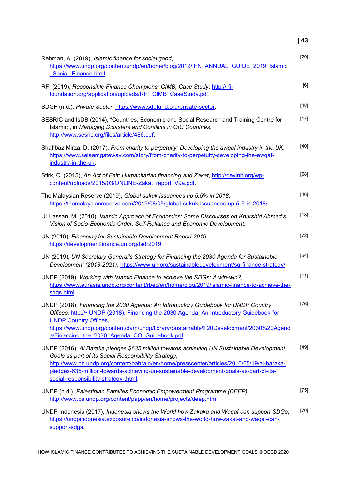| Rehman, A. (2019), Islamic finance for social good,<br>https://www.undp.org/content/undp/en/home/blog/2019/IFN ANNUAL GUIDE 2019 Islamic<br>Social Finance.html                                                                                                                                                                                                                   | $[29]$ |
|-----------------------------------------------------------------------------------------------------------------------------------------------------------------------------------------------------------------------------------------------------------------------------------------------------------------------------------------------------------------------------------|--------|
| RFI (2019), Responsible Finance Champions: CIMB, Case Study, http://rfi-<br>foundation.org/application/uploads/RFI CIMB CaseStudy.pdf.                                                                                                                                                                                                                                            | [6]    |
| SDGF (n.d.), Private Sector, https://www.sdgfund.org/private-sector.                                                                                                                                                                                                                                                                                                              | [48]   |
| SESRIC and IsDB (2014), "Countries, Economic and Social Research and Training Centre for<br>Islamic", in Managing Disasters and Conflicts in OIC Countries,<br>http://www.sesric.org/files/article/486.pdf.                                                                                                                                                                       | $[17]$ |
| Shahbaz Mirza, D. (2017), From charity to perpetuity: Developing the awqaf industry in the UK,<br>https://www.salaamgateway.com/story/from-charity-to-perpetuity-developing-the-awqaf-<br>industry-in-the-uk                                                                                                                                                                      | [40]   |
| Stirk, C. (2015), An Act of Fait: Humanitarian financing and Zakat, http://devinit.org/wp-<br>content/uploads/2015/03/ONLINE-Zakat report V9a.pdf.                                                                                                                                                                                                                                | [68]   |
| The Malaysian Reserve (2019), Global sukuk issuances up 5.5% in 2018,<br>https://themalaysianreserve.com/2019/08/05/global-sukuk-issuances-up-5-5-in-2018/.                                                                                                                                                                                                                       | $[46]$ |
| Ul Hassan, M. (2010), Islamic Approach of Economics: Some Discourses on Khurshid Ahmad's<br>Vision of Socio-Economic Order, Self-Reliance and Economic Development.                                                                                                                                                                                                               | $[18]$ |
| UN (2019), Financing for Sustainable Development Report 2019,<br>https://developmentfinance.un.org/fsdr2019.                                                                                                                                                                                                                                                                      | $[72]$ |
| UN (2019), UN Secretary General's Strategy for Financing the 2030 Agenda for Sustainable<br>Development (2018-2021), https://www.un.org/sustainabledevelopment/sg-finance-strategy/.                                                                                                                                                                                              | [64]   |
| UNDP (2019), Working with Islamic Finance to achieve the SDGs: A win-win?,<br>https://www.eurasia.undp.org/content/rbec/en/home/blog/2019/islamic-finance-to-achieve-the-<br>sdgs.html                                                                                                                                                                                            | $[11]$ |
| UNDP (2018), Financing the 2030 Agenda: An Introductory Guidebook for UNDP Country<br>Offices, http://• UNDP (2018), Financing the 2030 Agenda: An Introductory Guidebook for<br><b>UNDP Country Offices,</b><br>https://www.undp.org/content/dam/undp/library/Sustainable%20Development/2030%20Agend<br>a/Financing the 2030 Agenda CO Guidebook.pdf.                            | $[76]$ |
| UNDP (2016), Al Baraka pledges \$635 million towards achieving UN Sustainable Development<br>Goals as part of its Social Responsibility Strategy,<br>http://www.bh.undp.org/content/bahrain/en/home/presscenter/articles/2016/05/19/al-baraka-<br>pledges-635-million-towards-achieving-un-sustainable-development-goals-as-part-of-its-<br>social-responsibility-strategy-.html. | [49]   |
| UNDP (n.d.), Palestinian Families Economic Empowerment Programme (DEEP),<br>http://www.ps.undp.org/content/papp/en/home/projects/deep.html.                                                                                                                                                                                                                                       | $[75]$ |
| UNDP Indonesia (2017), Indonesia shows the World how Zakaka and Waqaf can support SDGs,<br>https://undpindonesia.exposure.co/indonesia-shows-the-world-how-zakat-and-waqaf-can-<br>support-sdgs.                                                                                                                                                                                  | $[70]$ |